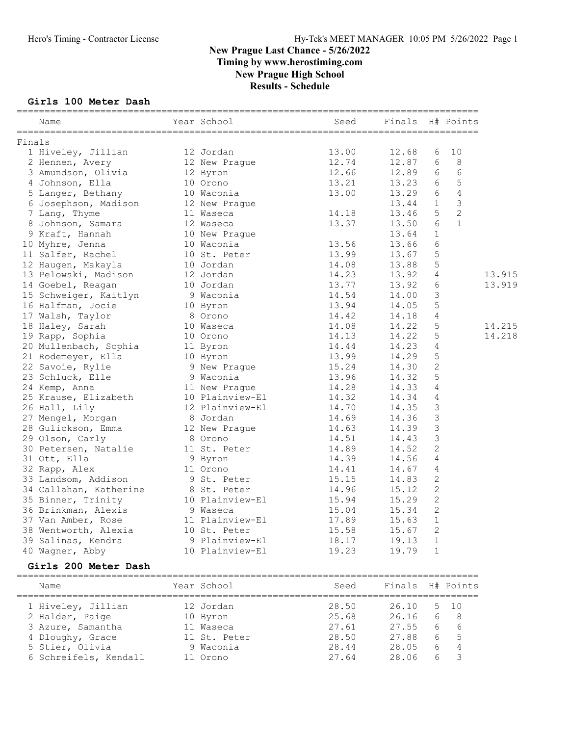## Girls 100 Meter Dash

|        | Year School<br>Name                                                                                                                                                                                        |                                          | Seed                                     | Finals H# Points |                 |                |        |
|--------|------------------------------------------------------------------------------------------------------------------------------------------------------------------------------------------------------------|------------------------------------------|------------------------------------------|------------------|-----------------|----------------|--------|
| Finals |                                                                                                                                                                                                            |                                          |                                          |                  |                 |                |        |
|        | 1 Hiveley, Jillian 12 Jordan                                                                                                                                                                               |                                          | $13.00$<br>$12.74$<br>$12.66$<br>$13.21$ | 12.68            | 6               | 10             |        |
|        | 2 Hennen, Avery                                                                                                                                                                                            | 12 New Prague<br>12 Byron<br>10 Orono    |                                          | 12.87            | 6               | 8              |        |
|        | 3 Amundson, Olivia                                                                                                                                                                                         |                                          |                                          | 12.89            | 6               | 6              |        |
|        | 4 Johnson, Ella                                                                                                                                                                                            |                                          |                                          | $13.23$ 6        |                 | 5              |        |
|        | 5 Langer, Bethany 10 Waconia                                                                                                                                                                               |                                          | 13.00                                    | 13.29 6          |                 | $\sqrt{4}$     |        |
|        | 6 Josephson, Madison 12 New Prague                                                                                                                                                                         |                                          |                                          | 13.44            | 1               | $\mathfrak{Z}$ |        |
|        | 7 Lang, Thyme                                                                                                                                                                                              | 11 Waseca                                | 14.18                                    | 13.46            | 5 <sup>5</sup>  | $\overline{c}$ |        |
|        | 8 Johnson, Samara                                                                                                                                                                                          |                                          | 13.37                                    | 13.50            | $6\phantom{.}6$ | $\mathbf{1}$   |        |
|        | 9 Kraft, Hannah                                                                                                                                                                                            | 12 Waseca<br>10 New Prague<br>10 Waconia | 13.56                                    | 13.64            | $\mathbf{1}$    |                |        |
|        | 10 Myhre, Jenna                                                                                                                                                                                            |                                          |                                          | 13.66            | 6               |                |        |
|        | 11 Salfer, Rachel 10 St. Peter                                                                                                                                                                             |                                          | 13.99                                    | 13.67            | $\mathsf S$     |                |        |
|        | 12 Haugen, Makayla 10 Jordan                                                                                                                                                                               |                                          | 14.08                                    | 13.88            | 5               |                |        |
|        | 13 Pelowski, Madison 12 Jordan                                                                                                                                                                             |                                          |                                          | 13.92            | $\overline{4}$  |                | 13.915 |
|        | 14 Goebel, Reagan 10 Jordan<br>15 Schweiger, Kaitlyn 9 Waconia<br>16 Halfman, Jocie 10 Byron<br>17 Walsh, Taylor 8 Orono                                                                                   |                                          | 14.23<br>13.77<br>14.54                  | 13.92            | $\sqrt{6}$      |                | 13.919 |
|        |                                                                                                                                                                                                            |                                          |                                          | 14.00            | $\mathfrak{Z}$  |                |        |
|        |                                                                                                                                                                                                            |                                          | 13.94                                    | 14.05            | $\mathsf S$     |                |        |
|        |                                                                                                                                                                                                            |                                          | 14.42                                    | 14.18            | $\sqrt{4}$      |                |        |
|        | 18 Haley, Sarah 10 Waseca                                                                                                                                                                                  |                                          | 14.08                                    | 14.22            | $\mathsf S$     |                | 14.215 |
|        |                                                                                                                                                                                                            |                                          |                                          | 14.22            | $\mathsf S$     |                | 14.218 |
|        |                                                                                                                                                                                                            |                                          | 14.13<br>14.44<br>13.99                  | 14.23            | $\sqrt{4}$      |                |        |
|        |                                                                                                                                                                                                            |                                          |                                          | 14.29            | $5\phantom{.0}$ |                |        |
|        |                                                                                                                                                                                                            |                                          |                                          | 14.30            | 2               |                |        |
|        | 19 Rapp, Sophia and 10 Orono 14.08<br>20 Mullenbach, Sophia 11 Byron 14.13<br>21 Rodemeyer, Ella 10 Byron 13.99<br>22 Savoie, Rylie 9 New Prague 15.24<br>23 Schluck, Elle 9 Waconia 13.96<br>24 Kemp Apps |                                          |                                          | 14.32            | $\mathsf S$     |                |        |
|        | 24 Kemp, Anna                                                                                                                                                                                              | 11 New Prague                            | 14.28                                    | 14.33            | 4               |                |        |
|        |                                                                                                                                                                                                            |                                          |                                          | 14.34            | $\overline{4}$  |                |        |
|        | 25 Krause, Elizabeth 10 Plainview-El 14.32<br>26 Hall, Lily 12 Plainview-El 14.70<br>27 Mengel, Morgan 8 Jordan 14.69                                                                                      |                                          |                                          | 14.35            | $\mathfrak{Z}$  |                |        |
|        | 27 Mengel, Morgan 18 Jordan<br>28 Gulickson, Emma 12 New Prague                                                                                                                                            |                                          |                                          | 14.36            | $\mathfrak{Z}$  |                |        |
|        |                                                                                                                                                                                                            |                                          | 14.63                                    | 14.39            | $\mathcal{S}$   |                |        |
|        | 29 Olson, Carly                                                                                                                                                                                            | 8 Orono                                  | 14.51                                    | 14.43            | $\mathfrak{Z}$  |                |        |
|        | 30 Petersen, Natalie 11 St. Peter                                                                                                                                                                          |                                          | 14.89                                    | 14.52            | $\mathbf{2}$    |                |        |
|        | 31 Ott, Ella                                                                                                                                                                                               | 9 Byron<br>11 Orono<br>9 St. Peter       | 14.39                                    | 14.56            | $\sqrt{4}$      |                |        |
|        | 32 Rapp, Alex                                                                                                                                                                                              |                                          | 14.41                                    | 14.67            | $\sqrt{4}$      |                |        |
|        | 33 Landsom, Addison                                                                                                                                                                                        |                                          | 15.15                                    | 14.83            | $\sqrt{2}$      |                |        |
|        | 34 Callahan, Katherine 8 St. Peter                                                                                                                                                                         |                                          | 14.96                                    | 15.12            | $\mathbf{2}$    |                |        |
|        | 35 Binner, Trinity 10 Plainview-El                                                                                                                                                                         |                                          | 15.94                                    | 15.29            | $\mathbf{2}$    |                |        |
|        | 36 Brinkman, Alexis 9 Waseca                                                                                                                                                                               |                                          | 15.04                                    | 15.34            | 2               |                |        |
|        | 37 Van Amber, Rose                                                                                                                                                                                         | 11 Plainview-El                          | 17.89                                    | 15.63            | $\mathbf{1}$    |                |        |
|        | 38 Wentworth, Alexia                                                                                                                                                                                       | 10 St. Peter                             | 15.58                                    | 15.67            | 2               |                |        |
|        | 39 Salinas, Kendra                                                                                                                                                                                         | 9 Plainview-El                           | 18.17                                    | 19.13            | 1               |                |        |
|        | 40 Wagner, Abby                                                                                                                                                                                            | 10 Plainview-El                          | 19.23                                    | 19.79            | 1               |                |        |
|        | Girls 200 Meter Dash                                                                                                                                                                                       |                                          | ------------------                       |                  |                 |                |        |
|        | Name                                                                                                                                                                                                       | Year School                              | Seed                                     | Finals H# Points |                 |                |        |
|        | 1 Hiveley, Jillian                                                                                                                                                                                         | 12 Jordan                                | 28.50                                    | 26.10            | 5               | 10             |        |
|        | 2 Halder, Paige                                                                                                                                                                                            | 10 Byron                                 | 25.68                                    | 26.16            | 6               | 8              |        |
|        | 3 Azure, Samantha                                                                                                                                                                                          | 11 Waseca                                | 27.61                                    | 27.55            | 6               | 6              |        |
|        | 4 Dloughy, Grace                                                                                                                                                                                           | 11 St. Peter                             | 28.50                                    | 27.88            | 6               | 5              |        |
|        | 5 Stier, Olivia                                                                                                                                                                                            | 9 Waconia                                | 28.44                                    | 28.05            | 6               | 4              |        |
|        | 6 Schreifels, Kendall                                                                                                                                                                                      | 11 Orono                                 | 27.64                                    | 28.06            | 6               | 3              |        |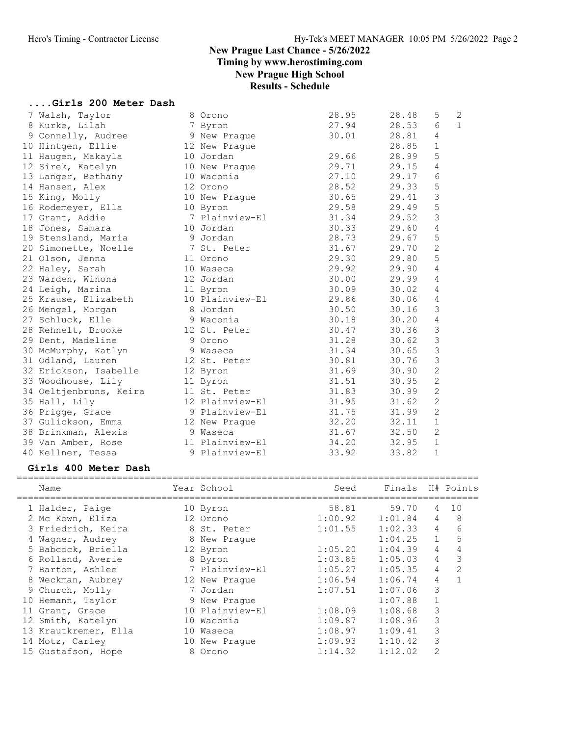## Results - Schedule

# ....Girls 200 Meter Dash

| 7 Walsh, Taylor                                                                                                                      | 8 Orono         | 28.95 | 28.48 | 5               | $\mathbf{2}$ |
|--------------------------------------------------------------------------------------------------------------------------------------|-----------------|-------|-------|-----------------|--------------|
| 8 Kurke, Lilah                                                                                                                       | 7 Byron         | 27.94 | 28.53 | $6\overline{6}$ | $\mathbf{1}$ |
| 9 Connelly, Audree                                                                                                                   | 9 New Prague    | 30.01 | 28.81 | $\overline{4}$  |              |
| 10 Hintgen, Ellie                                                                                                                    | 12 New Praque   |       | 28.85 | $\mathbf{1}$    |              |
| 11 Haugen, Makayla                                                                                                                   | 10 Jordan       | 29.66 | 28.99 | 5               |              |
| 12 Sirek, Katelyn                                                                                                                    | 10 New Prague   | 29.71 | 29.15 | $\overline{4}$  |              |
| 13 Langer, Bethany                                                                                                                   | 10 Waconia      | 27.10 | 29.17 | 6               |              |
| 14 Hansen, Alex                                                                                                                      | 12 Orono        | 28.52 | 29.33 | 5               |              |
| 15 King, Molly                                                                                                                       | 10 New Prague   | 30.65 | 29.41 | $\mathsf 3$     |              |
| 16 Rodemeyer, Ella                                                                                                                   | 10 Byron        | 29.58 | 29.49 | 5               |              |
| 17 Grant, Addie                                                                                                                      | 7 Plainview-El  | 31.34 | 29.52 | $\mathfrak{Z}$  |              |
| 18 Jones, Samara                                                                                                                     | 10 Jordan       | 30.33 | 29.60 | $\sqrt{4}$      |              |
| 19 Stensland, Maria<br>er de de 19 Jordan de 19 Jordan de 19 Jordan de 19 Jordan de 19 Jordan de 19 Jordan de 19 Jordan de 19 Jordan |                 | 28.73 | 29.67 | 5               |              |
| 20 Simonette, Noelle                                                                                                                 | 7 St. Peter     | 31.67 | 29.70 | $\overline{2}$  |              |
| 21 Olson, Jenna                                                                                                                      | 11 Orono        | 29.30 | 29.80 | 5               |              |
| 22 Haley, Sarah                                                                                                                      | 10 Waseca       | 29.92 | 29.90 | $\overline{4}$  |              |
| 23 Warden, Winona                                                                                                                    | 12 Jordan       | 30.00 | 29.99 | $\sqrt{4}$      |              |
| 24 Leigh, Marina                                                                                                                     | 11 Byron        | 30.09 | 30.02 | $\overline{4}$  |              |
| 25 Krause, Elizabeth                                                                                                                 | 10 Plainview-El | 29.86 | 30.06 | $\overline{4}$  |              |
| 26 Mengel, Morgan                                                                                                                    | 8 Jordan        | 30.50 | 30.16 | $\mathcal{S}$   |              |
| 27 Schluck, Elle                                                                                                                     | 9 Waconia       | 30.18 | 30.20 | $\overline{4}$  |              |
| 28 Rehnelt, Brooke                                                                                                                   | 12 St. Peter    | 30.47 | 30.36 | 3               |              |
| 29 Dent, Madeline                                                                                                                    | 9 Orono         | 31.28 | 30.62 | $\mathfrak{Z}$  |              |
| 30 McMurphy, Katlyn                                                                                                                  | 9 Waseca        | 31.34 | 30.65 | $\mathfrak{Z}$  |              |
| 31 Odland, Lauren                                                                                                                    | 12 St. Peter    | 30.81 | 30.76 | $\mathcal{S}$   |              |
| 32 Erickson, Isabelle                                                                                                                | 12 Byron        | 31.69 | 30.90 | $\overline{c}$  |              |
| 33 Woodhouse, Lily                                                                                                                   | 11 Byron        | 31.51 | 30.95 | $\overline{c}$  |              |
| 34 Oeltjenbruns, Keira                                                                                                               | 11 St. Peter    | 31.83 | 30.99 | $\overline{c}$  |              |
| 35 Hall, Lily                                                                                                                        | 12 Plainview-El | 31.95 | 31.62 | $\overline{c}$  |              |
| 36 Prigge, Grace                                                                                                                     | 9 Plainview-El  | 31.75 | 31.99 | $\overline{c}$  |              |
| 37 Gulickson, Emma                                                                                                                   | 12 New Prague   | 32.20 | 32.11 | $1\,$           |              |
| 38 Brinkman, Alexis                                                                                                                  | 9 Waseca        | 31.67 | 32.50 | $\overline{c}$  |              |
| 39 Van Amber, Rose                                                                                                                   | 11 Plainview-El | 34.20 | 32.95 | $\mathbf{1}$    |              |
| 40 Kellner, Tessa                                                                                                                    | 9 Plainview-El  | 33.92 | 33.82 | $\mathbf{1}$    |              |
|                                                                                                                                      |                 |       |       |                 |              |

#### Girls 400 Meter Dash

| Name                 |    | Year School     | Seed    | Finals  |                | H# Points     |
|----------------------|----|-----------------|---------|---------|----------------|---------------|
| 1 Halder, Paige      |    | 10 Byron        | 58.81   | 59.70   | 4              | 10            |
| 2 Mc Kown, Eliza     |    | 12 Orono        | 1:00.92 | 1:01.84 | 4              | 8             |
| 3 Friedrich, Keira   |    | 8 St. Peter     | 1:01.55 | 1:02.33 | $\overline{4}$ | 6             |
| 4 Wagner, Audrey     |    | 8 New Praque    |         | 1:04.25 | $\mathbf{1}$   | 5             |
| 5 Babcock, Briella   |    | 12 Byron        | 1:05.20 | 1:04.39 | 4              | 4             |
| 6 Rolland, Averie    |    | 8 Byron         | 1:03.85 | 1:05.03 | 4              | 3             |
| 7 Barton, Ashlee     |    | 7 Plainview-El  | 1:05.27 | 1:05.35 | 4              | $\mathcal{P}$ |
| 8 Weckman, Aubrey    |    | 12 New Prague   | 1:06.54 | 1:06.74 | 4              |               |
| 9 Church, Molly      |    | 7 Jordan        | 1:07.51 | 1:07.06 | 3              |               |
| 10 Hemann, Taylor    |    | 9 New Praque    |         | 1:07.88 |                |               |
| 11 Grant, Grace      |    | 10 Plainview-El | 1:08.09 | 1:08.68 | 3              |               |
| 12 Smith, Katelyn    |    | 10 Waconia      | 1:09.87 | 1:08.96 | 3              |               |
| 13 Krautkremer, Ella |    | 10 Waseca       | 1:08.97 | 1:09.41 | 3              |               |
| 14 Motz, Carley      | 10 | New Praque      | 1:09.93 | 1:10.42 | 3              |               |
| 15 Gustafson, Hope   |    | 8 Orono         | 1:14.32 | 1:12.02 | $\overline{2}$ |               |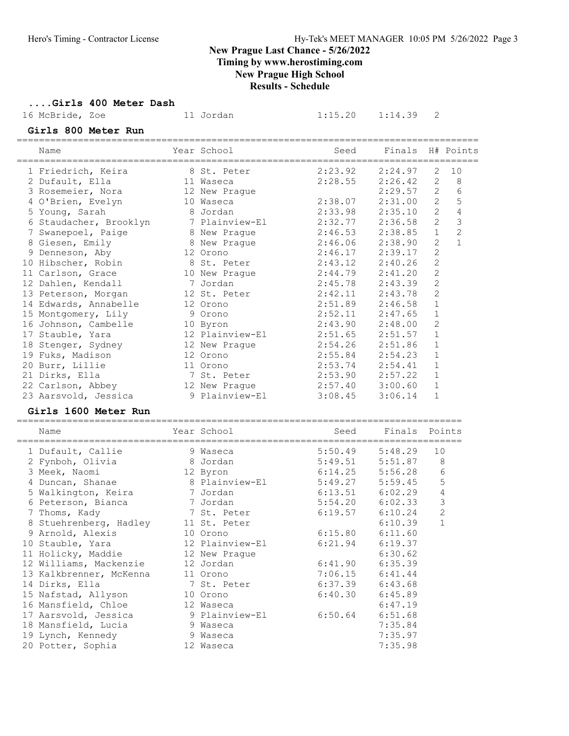Timing by www.herostiming.com

New Prague High School

|                                        |                           | <b>IVEW 1 Lague High School</b><br><b>Results - Schedule</b> |                    |                              |                |
|----------------------------------------|---------------------------|--------------------------------------------------------------|--------------------|------------------------------|----------------|
| Girls 400 Meter Dash                   |                           |                                                              |                    |                              |                |
| 16 McBride, Zoe                        | 11 Jordan                 | 1:15.20                                                      | 1:14.39            | 2                            |                |
| Girls 800 Meter Run                    |                           |                                                              |                    |                              |                |
| Name                                   | Year School               | Seed                                                         | Finals             |                              | H# Points      |
| 1 Friedrich, Keira                     | 8 St. Peter               | 2:23.92                                                      | 2:24.97            | 2                            | 10             |
| 2 Dufault, Ella                        | 11 Waseca                 | 2:28.55                                                      | 2:26.42            | 2                            | 8              |
| 3 Rosemeier, Nora                      | 12 New Prague             |                                                              | 2:29.57            | 2                            | 6              |
| 4 O'Brien, Evelyn                      | 10 Waseca                 | 2:38.07                                                      | 2:31.00            | $\mathbf{2}$                 | 5              |
| 5 Young, Sarah                         | 8 Jordan                  | 2:33.98                                                      | 2:35.10            | $\mathbf{2}$                 | $\overline{4}$ |
| 6 Staudacher, Brooklyn                 | 7 Plainview-El            | 2:32.77                                                      | 2:36.58            | $\mathbf{2}$                 | 3              |
| 7 Swanepoel, Paige                     | 8 New Prague              | 2:46.53                                                      | 2:38.85            | $\mathbf{1}$                 | $\overline{c}$ |
| 8 Giesen, Emily                        | 8 New Prague              | 2:46.06                                                      | 2:38.90            | $\overline{2}$               | $\mathbf{1}$   |
| 9 Denneson, Aby                        | 12 Orono                  | 2:46.17                                                      | 2:39.17            | $\overline{c}$               |                |
| 10 Hibscher, Robin                     | 8 St. Peter               | 2:43.12                                                      | 2:40.26            | $\overline{2}$               |                |
| 11 Carlson, Grace                      | 10 New Prague             | 2:44.79                                                      | 2:41.20            | 2                            |                |
| 12 Dahlen, Kendall                     | 7 Jordan                  | 2:45.78                                                      | 2:43.39            | 2                            |                |
| 13 Peterson, Morgan                    | 12 St. Peter              | 2:42.11                                                      | 2:43.78            | $\overline{c}$               |                |
| 14 Edwards, Annabelle                  | 12 Orono                  | 2:51.89                                                      | 2:46.58            | $\mathbf 1$                  |                |
| 15 Montgomery, Lily                    | 9 Orono                   | 2:52.11                                                      | 2:47.65            | $\mathbf 1$                  |                |
| 16 Johnson, Cambelle                   | 10 Byron                  | 2:43.90                                                      | 2:48.00            | $\mathbf{2}$<br>$\mathbf{1}$ |                |
| 17 Stauble, Yara                       | 12 Plainview-El           | 2:51.65<br>2:54.26                                           | 2:51.57<br>2:51.86 | $\mathbf 1$                  |                |
| 18 Stenger, Sydney<br>19 Fuks, Madison | 12 New Prague<br>12 Orono | 2:55.84                                                      | 2:54.23            | $\mathbf 1$                  |                |
|                                        | 11 Orono                  | 2:53.74                                                      | 2:54.41            | $\mathbf 1$                  |                |
| 20 Burr, Lillie<br>21 Dirks, Ella      | 7 St. Peter               | 2:53.90                                                      | 2:57.22            | $\mathbf{1}$                 |                |
| 22 Carlson, Abbey                      | 12 New Prague             | 2:57.40                                                      | 3:00.60            | 1                            |                |
| 23 Aarsvold, Jessica                   | 9 Plainview-El            | 3:08.45                                                      | 3:06.14            | $\mathbf{1}$                 |                |
| Girls 1600 Meter Run                   |                           |                                                              |                    |                              |                |
|                                        |                           |                                                              |                    |                              |                |
| Name                                   | Year School               | Seed                                                         | Finals             | Points                       |                |
| 1 Dufault, Callie                      | 9 Waseca                  | 5:50.49                                                      | 5:48.29            | 10                           |                |
| 2 Fynboh, Olivia                       | 8 Jordan                  | 5:49.51                                                      | 5:51.87            | 8                            |                |
| 3 Meek, Naomi                          | 12 Byron                  | 6:14.25                                                      | 5:56.28            | 6                            |                |
| 4 Duncan, Shanae                       | 8 Plainview-El            | 5:49.27                                                      | 5:59.45            | 5                            |                |
| 5 Walkington, Keira                    | 7 Jordan                  | 6:13.51                                                      | $6:02.29$ 4        |                              |                |
| 6 Peterson, Bianca                     | 7 Jordan                  | 5:54.20                                                      | 6:02.33            | 3                            |                |
| 7 Thoms, Kady                          | 7 St. Peter               | 6:19.57                                                      | 6:10.24            | 2                            |                |
| 8 Stuehrenberg, Hadley                 | 11 St. Peter              |                                                              | 6:10.39            | $\mathbf 1$                  |                |
| 9 Arnold, Alexis                       | 10 Orono                  | 6:15.80                                                      | 6:11.60            |                              |                |
| 10 Stauble, Yara                       | 12 Plainview-El           | 6:21.94                                                      | 6:19.37            |                              |                |
| 11 Holicky, Maddie                     | 12 New Praque             |                                                              | 6:30.62            |                              |                |
| 12 Williams, Mackenzie                 | 12 Jordan                 | 6:41.90                                                      | 6:35.39            |                              |                |
| 13 Kalkbrenner, McKenna                | 11 Orono                  | 7:06.15                                                      | 6:41.44            |                              |                |
| 14 Dirks, Ella                         | 7 St. Peter               | 6:37.39                                                      | 6:43.68            |                              |                |
| 15 Nafstad, Allyson                    | 10 Orono                  | 6:40.30                                                      | 6:45.89            |                              |                |
| 16 Mansfield, Chloe                    | 12 Waseca                 |                                                              | 6:47.19            |                              |                |
| 17 Aarsvold, Jessica                   | 9 Plainview-El            | 6:50.64                                                      | 6:51.68            |                              |                |
| 18 Mansfield, Lucia                    | 9 Waseca                  |                                                              | 7:35.84            |                              |                |
| 19 Lynch, Kennedy                      | 9 Waseca                  |                                                              | 7:35.97            |                              |                |
| 20 Potter, Sophia                      | 12 Waseca                 |                                                              | 7:35.98            |                              |                |
|                                        |                           |                                                              |                    |                              |                |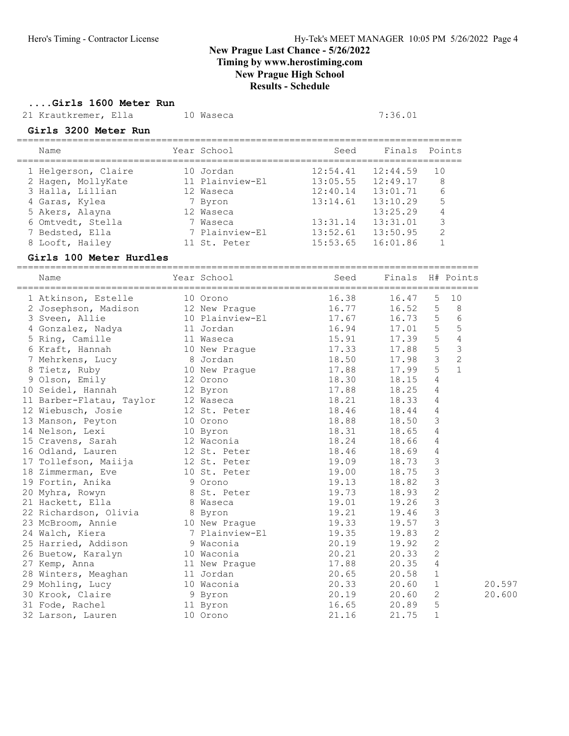Timing by www.herostiming.com

## New Prague High School

Results - Schedule

....Girls 1600 Meter Run

21 Krautkremer, Ella 10 Waseca 10 7:36.01

#### Girls 3200 Meter Run

| Name                | Year School     | Seed     | Finals Points |               |
|---------------------|-----------------|----------|---------------|---------------|
| 1 Helgerson, Claire | 10 Jordan       | 12:54.41 | 12:44.59      | 10            |
| 2 Hagen, MollyKate  | 11 Plainview-El | 13:05.55 | 12:49.17      | 8             |
| 3 Halla, Lillian    | 12 Waseca       | 12:40.14 | 13:01.71      | 6             |
| 4 Garas, Kylea      | 7 Byron         | 13:14.61 | 13:10.29      | 5             |
| 5 Akers, Alayna     | 12 Waseca       |          | 13:25.29      |               |
| 6 Omtvedt, Stella   | 7 Waseca        | 13:31.14 | 13:31.01      | 3             |
| 7 Bedsted, Ella     | 7 Plainview-El  | 13:52.61 | 13:50.95      | $\mathcal{P}$ |
| 8 Looft, Hailey     | 11 St. Peter    | 15:53.65 | 16:01.86      |               |
|                     |                 |          |               |               |

#### Girls 100 Meter Hurdles

===================================================================================

| Name                                                                                            |          | Year School     | Seed  | Finals H# Points |                 |                |
|-------------------------------------------------------------------------------------------------|----------|-----------------|-------|------------------|-----------------|----------------|
| 1 Atkinson, Estelle                                                                             |          | 10 Orono        | 16.38 | 16.47            | 5               | 10             |
| 2 Josephson, Madison                                                                            |          | 12 New Praque   | 16.77 | 16.52            | 5               | 8              |
| 3 Sveen, Allie                                                                                  |          | 10 Plainview-El | 17.67 | 16.73            | $\overline{5}$  | $\sqrt{6}$     |
| 4 Gonzalez, Nadya                                                                               |          | 11 Jordan       | 16.94 | 17.01            | 5               | 5              |
| 5 Ring, Camille                                                                                 |          | 11 Waseca       | 15.91 | 17.39            | 5               | $\overline{4}$ |
| 6 Kraft, Hannah                                                                                 |          | 10 New Prague   | 17.33 | 17.88            | $5\phantom{.0}$ | $\mathfrak{Z}$ |
| 7 Mehrkens, Lucy                                                                                |          | 8 Jordan        | 18.50 | 17.98            | $\mathcal{S}$   | $\overline{c}$ |
| 8 Tietz, Ruby                                                                                   |          | 10 New Prague   | 17.88 | 17.99            | 5               | $\mathbf{1}$   |
| Olson, Emily<br>9                                                                               | 12 Orono |                 | 18.30 | 18.15            | $\overline{4}$  |                |
| 10 Seidel, Hannah                                                                               |          | 12 Byron        | 17.88 | 18.25            | 4               |                |
| 11 Barber-Flatau, Taylor                                                                        |          | 12 Waseca       | 18.21 | 18.33            | 4               |                |
| 12 Wiebusch, Josie                                                                              |          | 12 St. Peter    | 18.46 | 18.44            | 4               |                |
| 13 Manson, Peyton                                                                               |          | 10 Orono        | 18.88 | 18.50            | 3               |                |
| 14 Nelson, Lexi                                                                                 |          | 10 Byron        | 18.31 | 18.65            | $\overline{4}$  |                |
| 15 Cravens, Sarah 12 Waconia                                                                    |          |                 | 18.24 | 18.66            | 4               |                |
| 16 Odland, Lauren                                                                               |          | 12 St. Peter    | 18.46 | 18.69            | 4               |                |
|                                                                                                 |          |                 | 19.09 | 18.73            | $\mathfrak{Z}$  |                |
|                                                                                                 |          |                 | 19.00 | 18.75            | $\mathfrak{Z}$  |                |
| 17 Tollefson, Maiija 12 St. Peter<br>18 Zimmerman, Eve 10 St. Peter<br>19 Fortin, Anika 9 Orono |          |                 | 19.13 | 18.82            | $\mathfrak{Z}$  |                |
| 20 Myhra, Rowyn                                                                                 |          | 8 St. Peter     | 19.73 | 18.93            | $\mathbf{2}$    |                |
| 21 Hackett, Ella                                                                                |          | 8 Waseca        | 19.01 | 19.26            | $\mathfrak{Z}$  |                |
| 22 Richardson, Olivia                                                                           |          | 8 Byron         | 19.21 | 19.46            | $\mathfrak{Z}$  |                |
| 23 McBroom, Annie                                                                               |          | 10 New Prague   | 19.33 | 19.57            | $\mathfrak{Z}$  |                |
| 24 Walch, Kiera                                                                                 |          | 7 Plainview-El  | 19.35 | 19.83            | $\mathbf{2}$    |                |
| 25 Harried, Addison                                                                             |          | 9 Waconia       | 20.19 | 19.92            | $\mathbf{2}$    |                |
| 26 Buetow, Karalyn                                                                              |          | 10 Waconia      | 20.21 | 20.33            | $\overline{c}$  |                |
| 27 Kemp, Anna                                                                                   |          | 11 New Prague   | 17.88 | 20.35            | $\overline{4}$  |                |
| 28 Winters, Meaghan                                                                             |          | 11 Jordan       | 20.65 | 20.58            | $\mathbf{1}$    |                |
| 29 Mohling, Lucy                                                                                |          | 10 Waconia      | 20.33 | 20.60            | $\mathbf 1$     | 20.597         |
| 30 Krook, Claire                                                                                |          | 9 Byron         | 20.19 | 20.60            | $\mathbf{2}$    | 20.600         |
| 31 Fode, Rachel                                                                                 |          | 11 Byron        | 16.65 | 20.89            | 5               |                |
| 32 Larson, Lauren                                                                               |          | 10 Orono        | 21.16 | 21.75            | $\mathbf{1}$    |                |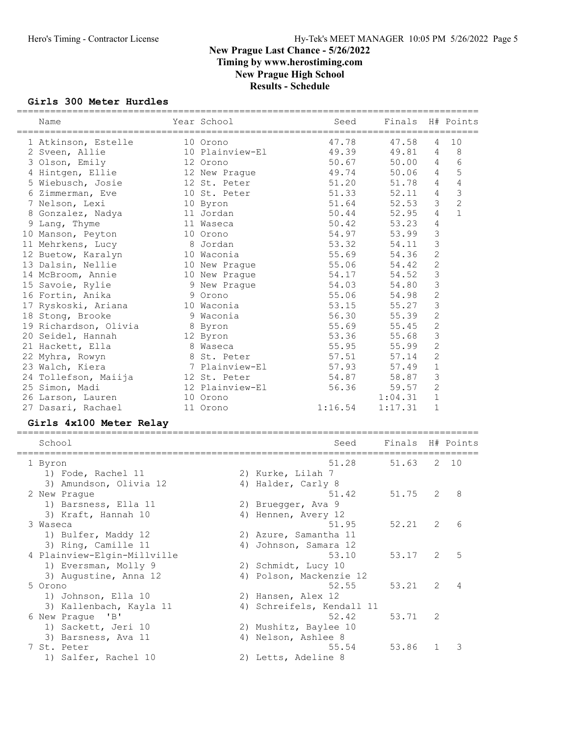#### Girls 300 Meter Hurdles

| Name<br>========================= | Year School     |                           | Seed    | Finals               |                | H# Points      |
|-----------------------------------|-----------------|---------------------------|---------|----------------------|----------------|----------------|
| 1 Atkinson, Estelle               | 10 Orono        |                           | 47.78   | 47.58                | 4              | 10             |
| 2 Sveen, Allie                    | 10 Plainview-El |                           | 49.39   | 49.81                | 4              | 8              |
| 3 Olson, Emily                    | 12 Orono        |                           | 50.67   | 50.00                | 4              | 6              |
| 4 Hintgen, Ellie                  | 12 New Prague   |                           | 49.74   | 50.06                | 4              | 5              |
| 5 Wiebusch, Josie                 | 12 St. Peter    |                           | 51.20   | 51.78                | 4              | 4              |
| 6 Zimmerman, Eve                  | 10 St. Peter    |                           | 51.33   | 52.11                | 4              | $\mathsf 3$    |
| 7 Nelson, Lexi                    | 10 Byron        |                           | 51.64   | 52.53                | 3              | $\overline{c}$ |
| 8 Gonzalez, Nadya                 | 11 Jordan       |                           | 50.44   | 52.95                | 4              | $\mathbf{1}$   |
| 9 Lang, Thyme                     | 11 Waseca       |                           | 50.42   | 53.23                | 4              |                |
| 10 Manson, Peyton                 | 10 Orono        |                           | 54.97   | 53.99                | 3              |                |
| 11 Mehrkens, Lucy                 | 8 Jordan        |                           | 53.32   | 54.11                | 3              |                |
| 12 Buetow, Karalyn                | 10 Waconia      |                           | 55.69   | 54.36                | $\mathbf{2}$   |                |
| 13 Dalsin, Nellie                 | 10 New Praque   |                           | 55.06   | 54.42                | $\overline{2}$ |                |
| 14 McBroom, Annie                 | 10 New Prague   |                           | 54.17   | 54.52                | $\mathfrak{Z}$ |                |
| 15 Savoie, Rylie                  | 9 New Prague    |                           | 54.03   | 54.80                | 3              |                |
| 16 Fortin, Anika                  | 9 Orono         |                           | 55.06   | 54.98                | 2              |                |
| 17 Ryskoski, Ariana               | 10 Waconia      |                           | 53.15   | 55.27                | 3              |                |
| 18 Stong, Brooke                  | 9 Waconia       |                           | 56.30   | 55.39                | 2              |                |
| 19 Richardson, Olivia             | 8 Byron         |                           | 55.69   | 55.45                | $\mathbf{2}$   |                |
| 20 Seidel, Hannah                 | 12 Byron        |                           | 53.36   | 55.68                | $\mathfrak{Z}$ |                |
| 21 Hackett, Ella                  | 8 Waseca        |                           | 55.95   | 55.99                | $\sqrt{2}$     |                |
| 22 Myhra, Rowyn                   | 8 St. Peter     |                           | 57.51   | 57.14                | $\mathbf{2}$   |                |
| 23 Walch, Kiera                   | 7 Plainview-El  |                           | 57.93   | 57.49                | $\mathbf 1$    |                |
| 24 Tollefson, Maiija              | 12 St. Peter    |                           | 54.87   | 58.87                | 3              |                |
| 25 Simon, Madi                    | 12 Plainview-El |                           | 56.36   | 59.57                | $\mathbf{2}$   |                |
| 26 Larson, Lauren                 | 10 Orono        |                           |         | 1:04.31              | $\mathbf 1$    |                |
| 27 Dasari, Rachael                | 11 Orono        |                           | 1:16.54 | 1:17.31              | $\mathbf 1$    |                |
| Girls 4x100 Meter Relay           |                 |                           |         |                      |                |                |
| School                            |                 |                           | Seed    | Finals<br>---------- |                | H# Points      |
| 1 Byron                           |                 |                           | 51.28   | 51.63                | 2              | 10             |
| 1) Fode, Rachel 11                |                 | 2) Kurke, Lilah 7         |         |                      |                |                |
| 3) Amundson, Olivia 12            |                 | 4) Halder, Carly 8        |         |                      |                |                |
| 2 New Prague                      |                 |                           | 51.42   | 51.75                | 2              | 8              |
| 1) Barsness, Ella 11              |                 | 2) Bruegger, Ava 9        |         |                      |                |                |
| 3) Kraft, Hannah 10               |                 | 4) Hennen, Avery 12       |         |                      |                |                |
| 3 Waseca                          |                 |                           | 51.95   | 52.21                | $\overline{c}$ | 6              |
| 1) Bulfer, Maddy 12               |                 | 2) Azure, Samantha 11     |         |                      |                |                |
| 3) Ring, Camille 11               |                 | 4) Johnson, Samara 12     |         |                      |                |                |
| 4 Plainview-Elgin-Millville       |                 |                           | 53.10   | 53.17                | 2              | 5              |
| 1) Eversman, Molly 9              |                 | 2) Schmidt, Lucy 10       |         |                      |                |                |
| 3) Augustine, Anna 12             |                 | 4) Polson, Mackenzie 12   |         |                      |                |                |
| 5 Orono                           |                 |                           | 52.55   | 53.21                | 2              | 4              |
| 1) Johnson, Ella 10               |                 | 2) Hansen, Alex 12        |         |                      |                |                |
| 3) Kallenbach, Kayla 11           |                 | 4) Schreifels, Kendall 11 |         |                      |                |                |
| 6 New Prague<br>$\overline{B}$    |                 |                           | 52.42   | 53.71                | 2              |                |
| 1) Sackett, Jeri 10               |                 | 2) Mushitz, Baylee 10     |         |                      |                |                |
| 3) Barsness, Ava 11               |                 | 4) Nelson, Ashlee 8       |         |                      |                |                |
|                                   |                 |                           |         |                      |                |                |
| 7 St. Peter                       |                 |                           | 55.54   | 53.86                | 1              | 3              |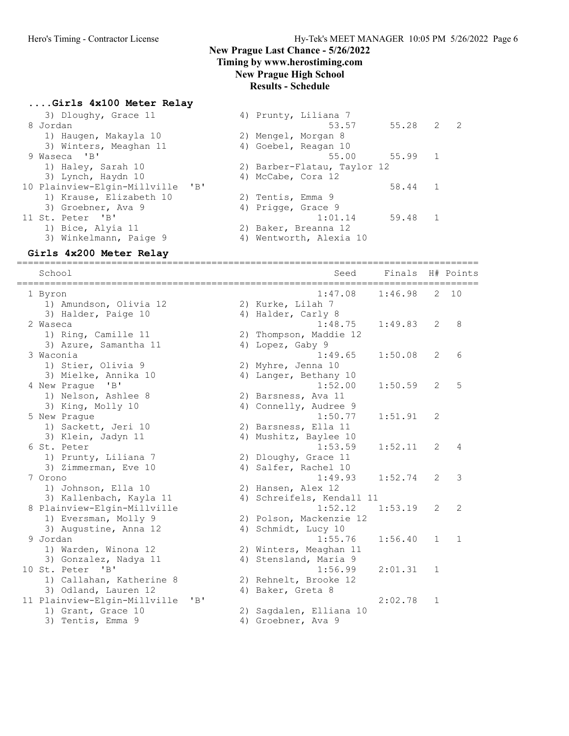#### ....Girls 4x100 Meter Relay

| 3) Dloughy, Grace 11<br>8 Jordan               | 4) Prunty, Liliana 7<br>55.28 2<br>$\overline{2}$<br>53.57 |
|------------------------------------------------|------------------------------------------------------------|
| 1) Haugen, Makayla 10                          | 2) Mengel, Morgan 8                                        |
| 3) Winters, Meaghan 11                         | 4) Goebel, Reagan 10                                       |
| 9 Waseca 'B'                                   | 55.00 55.99<br>1                                           |
| 1) Haley, Sarah 10                             | 2) Barber-Flatau, Taylor 12                                |
| 3) Lynch, Haydn 10                             | 4) McCabe, Cora 12                                         |
| 10 Plainview-Elgin-Millville<br>$\overline{B}$ | 58.44<br>1                                                 |
| 1) Krause, Elizabeth 10                        | 2) Tentis, Emma 9                                          |
| 3) Groebner, Ava 9                             | 4) Prigge, Grace 9                                         |
| 11 St. Peter 'B'                               | 1:01.14<br>59.48<br>$\mathbf{1}$                           |
| 1) Bice, Alyia 11                              | 2) Baker, Breanna 12                                       |
| 3) Winkelmann, Paige 9                         | 4) Wentworth, Alexia 10                                    |

#### Girls 4x200 Meter Relay ===================================================================================

 School Seed Finals H# Points =================================================================================== 1 Byron 1:47.08 1:46.98 2 10 1) Amundson, Olivia 12 2) Kurke, Lilah 7 3) Halder, Paige 10 4) Halder, Carly 8 2 Waseca 1:48.75 1:49.83 2 8 1) Ring, Camille 11 2) Thompson, Maddie 12 3) Azure, Samantha 11 (4) Lopez, Gaby 9 3 Waconia 1:49.65 1:50.08 2 6 1) Stier, Olivia 9 2) Myhre, Jenna 10 3) Mielke, Annika 10 4) Langer, Bethany 10 4 New Prague 'B' 1:52.00 1:50.59 2 5 1) Nelson, Ashlee 8 2) Barsness, Ava 11 3) King, Molly 10 4) Connelly, Audree 9 5 New Prague 1:50.77 1:51.91 2 1) Sackett, Jeri 10 2) Barsness, Ella 11 3) Klein, Jadyn 11 4) Mushitz, Baylee 10 6 St. Peter 1:53.59 1:52.11 2 4 1) Prunty, Liliana 7 2) Dloughy, Grace 11 3) Zimmerman, Eve 10 (4) Salfer, Rachel 10 7 Orono 1:49.93 1:52.74 2 3 1) Johnson, Ella 10 2) Hansen, Alex 12 3) Kallenbach, Kayla 11 4) Schreifels, Kendall 11 8 Plainview-Elgin-Millville 1:52.12 1:53.19 2 2 1) Eversman, Molly 9 2) Polson, Mackenzie 12 3) Augustine, Anna 12 19 4) Schmidt, Lucy 10 9 Jordan 1:55.76 1:56.40 1 1 1) Warden, Winona 12 2) Winters, Meaghan 11 3) Gonzalez, Nadya 11 4) Stensland, Maria 9 10 St. Peter 'B' 1:56.99 2:01.31 1 1) Callahan, Katherine 8 2) Rehnelt, Brooke 12 1.30.33<br>3) Odland, Lauren 12 4) Baker, Greta 8<br>3) Odland, Lauren 12 4) Baker, Greta 8 11 Plainview-Elgin-Millville 'B' 2:02.78 1 1) Grant, Grace 10 2) Sagdalen, Elliana 10 3) Tentis, Emma 9 (4) Groebner, Ava 9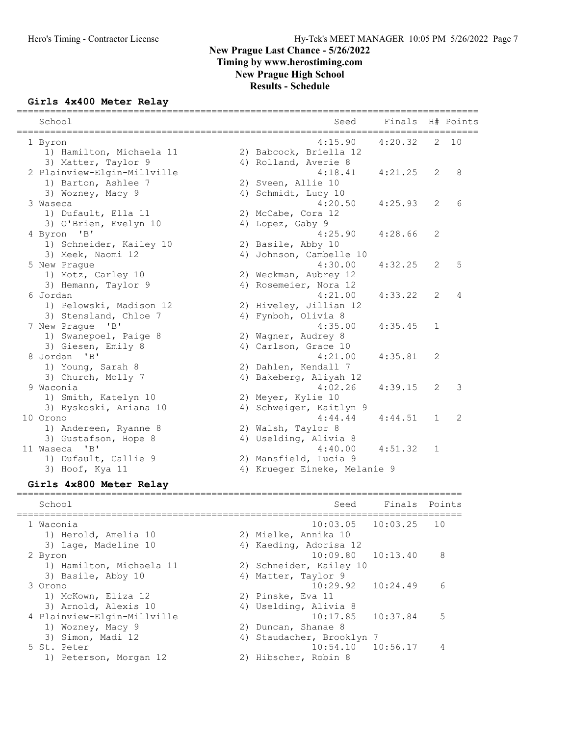#### Girls 4x400 Meter Relay

| EVIOR METET VETSY                                            |                                 | Finals   |    |           |
|--------------------------------------------------------------|---------------------------------|----------|----|-----------|
| School<br>==========<br>____________________________________ | Seed                            |          |    | H# Points |
| 1 Byron                                                      | 4:15.90                         | 4:20.32  | 2  | 10        |
| 1) Hamilton, Michaela 11                                     | 2) Babcock, Briella 12          |          |    |           |
| 3) Matter, Taylor 9                                          | 4) Rolland, Averie 8            |          |    |           |
| 2 Plainview-Elgin-Millville                                  | 4:18.41                         | 4:21.25  | 2  | 8         |
| 1) Barton, Ashlee 7                                          | 2) Sveen, Allie 10              |          |    |           |
| 3) Wozney, Macy 9                                            | 4) Schmidt, Lucy 10             |          |    |           |
| 3 Waseca                                                     | 4:20.50                         | 4:25.93  | 2  | 6         |
| 1) Dufault, Ella 11                                          | 2) McCabe, Cora 12              |          |    |           |
| 3) O'Brien, Evelyn 10                                        | 4) Lopez, Gaby 9                |          |    |           |
| 4 Byron<br>"B"                                               | 4:25.90                         | 4:28.66  | 2  |           |
| 1) Schneider, Kailey 10                                      | 2) Basile, Abby 10              |          |    |           |
| 3) Meek, Naomi 12                                            | 4) Johnson, Cambelle 10         |          |    |           |
| 5 New Prague                                                 | 4:30.00                         | 4:32.25  | 2  | 5         |
| 1) Motz, Carley 10                                           | 2) Weckman, Aubrey 12           |          |    |           |
| 3) Hemann, Taylor 9                                          | 4) Rosemeier, Nora 12           |          |    |           |
| 6 Jordan                                                     | 4:21.00                         | 4:33.22  | 2  | 4         |
| 1) Pelowski, Madison 12                                      | 2) Hiveley, Jillian 12          |          |    |           |
| 3) Stensland, Chloe 7                                        | 4) Fynboh, Olivia 8             |          |    |           |
| 7 New Praque 'B'                                             | 4:35.00                         | 4:35.45  | 1  |           |
| 1) Swanepoel, Paige 8                                        | 2) Wagner, Audrey 8             |          |    |           |
| 3) Giesen, Emily 8                                           | 4) Carlson, Grace 10            |          |    |           |
| $^{\prime}$ B <sup><math>\prime</math></sup><br>8 Jordan     | 4:21.00                         | 4:35.81  | 2  |           |
| 1) Young, Sarah 8                                            | 2) Dahlen, Kendall 7            |          |    |           |
| 3) Church, Molly 7                                           | 4) Bakeberg, Aliyah 12          |          |    |           |
| 9 Waconia                                                    | 4:02.26                         | 4:39.15  | 2  | 3         |
| 1) Smith, Katelyn 10                                         | 2) Meyer, Kylie 10              |          |    |           |
| 3) Ryskoski, Ariana 10                                       | 4) Schweiger, Kaitlyn 9         |          |    |           |
| 10 Orono                                                     | 4:44.44                         | 4:44.51  | 1  | 2         |
| 1) Andereen, Ryanne 8                                        | 2) Walsh, Taylor 8              |          |    |           |
| 3) Gustafson, Hope 8                                         | 4) Uselding, Alivia 8           |          |    |           |
| 11 Waseca<br>"B"                                             | 4:40.00                         | 4:51.32  | 1  |           |
| 1) Dufault, Callie 9                                         | 2) Mansfield, Lucia 9           |          |    |           |
| 3) Hoof, Kya 11                                              | 4) Krueger Eineke, Melanie 9    |          |    |           |
| Girls 4x800 Meter Relay                                      |                                 |          |    |           |
|                                                              |                                 |          |    |           |
| School                                                       | Seed                            | Finals   |    | Points    |
|                                                              | ------------------------------- |          |    |           |
| 1 Waconia                                                    | 10:03.05                        | 10:03.25 | 10 |           |
| 1) Herold, Amelia 10                                         | 2) Mielke, Annika 10            |          |    |           |
| 3) Lage, Madeline 10                                         | 4) Kaeding, Adorisa 12          |          |    |           |
| 2 Byron                                                      | 10:09.80                        | 10:13.40 | 8  |           |
| 1) Hamilton, Michaela 11                                     | 2) Schneider, Kailey 10         |          |    |           |
| 3) Basile, Abby 10                                           | 4) Matter, Taylor 9             |          |    |           |
| 3 Orono                                                      | 10:29.92                        | 10:24.49 | 6  |           |
| 1) McKown, Eliza 12                                          | 2) Pinske, Eva 11               |          |    |           |
| 3) Arnold, Alexis 10                                         | 4) Uselding, Alivia 8           |          |    |           |
| 4 Plainview-Elgin-Millville                                  | 10:17.85                        | 10:37.84 | 5  |           |
| 1) Wozney, Macy 9                                            | 2) Duncan, Shanae 8             |          |    |           |
| 3) Simon, Madi 12                                            | 4) Staudacher, Brooklyn 7       |          |    |           |
| 5 St. Peter                                                  | 10:54.10                        | 10:56.17 | 4  |           |

1) Peterson, Morgan 12 2) Hibscher, Robin 8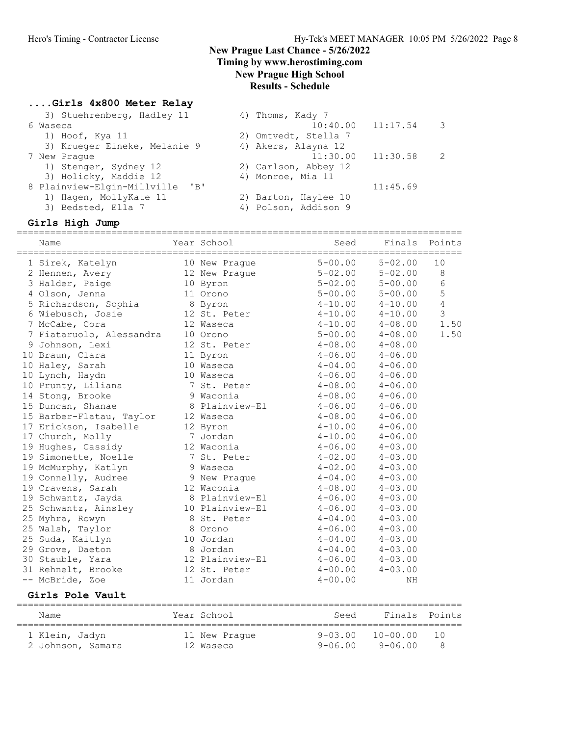## Timing by www.herostiming.com

New Prague High School

## Results - Schedule

### ....Girls 4x800 Meter Relay

| 3) Stuehrenberg, Hadley 11         | 4) Thoms, Kady 7     |                       |               |
|------------------------------------|----------------------|-----------------------|---------------|
| 6 Waseca                           |                      | $10:40.00$ $11:17.54$ | 3             |
| 1) Hoof, Kya 11                    | 2) Omtvedt, Stella 7 |                       |               |
| 3) Krueger Eineke, Melanie 9       | 4) Akers, Alayna 12  |                       |               |
| 7 New Praque                       | 11:30.00             | 11:30.58              | $\mathcal{L}$ |
| 1) Stenger, Sydney 12              | 2) Carlson, Abbey 12 |                       |               |
| 3) Holicky, Maddie 12              | 4) Monroe, Mia 11    |                       |               |
| 8 Plainview-Elgin-Millville<br>"B" |                      | 11:45.69              |               |
| 1) Hagen, MollyKate 11             | 2) Barton, Haylee 10 |                       |               |
| 3) Bedsted, Ella 7                 | 4) Polson, Addison 9 |                       |               |
|                                    |                      |                       |               |

#### Girls High Jump

| Name                     | ========== | Year School     | Seed        |              | Finals Points  |
|--------------------------|------------|-----------------|-------------|--------------|----------------|
| 1 Sirek, Katelyn         |            | 10 New Praque   | $5 - 00.00$ | $5 - 02.00$  | 10             |
| 2 Hennen, Avery          |            | 12 New Prague   | $5 - 02.00$ | $5 - 02.00$  | $\,8\,$        |
| 3 Halder, Paige          |            | 10 Byron        | $5 - 02.00$ | $5 - 00.00$  | $\sqrt{6}$     |
| 4 Olson, Jenna           |            | 11 Orono        | $5 - 00.00$ | $5 - 00.00$  | 5              |
| 5 Richardson, Sophia     |            | 8 Byron         | $4 - 10.00$ | $4 - 10.00$  | $\overline{4}$ |
| 6 Wiebusch, Josie        |            | 12 St. Peter    | $4 - 10.00$ | $4 - 10.00$  | 3              |
| 7 McCabe, Cora           |            | 12 Waseca       | $4 - 10.00$ | $4 - 08.00$  | 1.50           |
| 7 Fiataruolo, Alessandra |            | 10 Orono        | $5 - 00.00$ | $4 - 08.00$  | 1.50           |
| 9 Johnson, Lexi          |            | 12 St. Peter    | $4 - 08.00$ | $4 - 08.00$  |                |
| 10 Braun, Clara          |            | 11 Byron        | $4 - 06.00$ | $4 - 06.00$  |                |
| 10 Haley, Sarah          |            | 10 Waseca       | $4 - 04.00$ | $4 - 06.00$  |                |
| 10 Lynch, Haydn          |            | 10 Waseca       | $4 - 06.00$ | $4 - 06.00$  |                |
| 10 Prunty, Liliana       |            | 7 St. Peter     | $4 - 08.00$ | $4 - 06.00$  |                |
| 14 Stong, Brooke         |            | 9 Waconia       | $4 - 08.00$ | $4 - 06.00$  |                |
| 15 Duncan, Shanae        |            | 8 Plainview-El  | $4 - 06.00$ | $4 - 06.00$  |                |
| 15 Barber-Flatau, Taylor |            | 12 Waseca       | $4 - 08.00$ | $4 - 06.00$  |                |
| 17 Erickson, Isabelle    |            | 12 Byron        | $4 - 10.00$ | $4 - 06.00$  |                |
| 17 Church, Molly         |            | 7 Jordan        | $4 - 10.00$ | $4 - 06.00$  |                |
| 19 Hughes, Cassidy       |            | 12 Waconia      | $4 - 06.00$ | $4 - 03.00$  |                |
| 19 Simonette, Noelle     |            | 7 St. Peter     | $4 - 02.00$ | $4 - 03.00$  |                |
| 19 McMurphy, Katlyn      |            | 9 Waseca        | $4 - 02.00$ | $4 - 03.00$  |                |
| 19 Connelly, Audree      |            | 9 New Praque    | $4 - 04.00$ | $4 - 03.00$  |                |
| 19 Cravens, Sarah        |            | 12 Waconia      | $4 - 08.00$ | $4 - 03.00$  |                |
| 19 Schwantz, Jayda       |            | 8 Plainview-El  | $4 - 06.00$ | $4 - 03.00$  |                |
| 25 Schwantz, Ainsley     |            | 10 Plainview-El | $4 - 06.00$ | $4 - 03.00$  |                |
| 25 Myhra, Rowyn          |            | 8 St. Peter     | $4 - 04.00$ | $4 - 03.00$  |                |
| 25 Walsh, Taylor         |            | 8 Orono         | $4 - 06.00$ | $4 - 03.00$  |                |
| 25 Suda, Kaitlyn         |            | 10 Jordan       | $4 - 04.00$ | $4 - 03.00$  |                |
| 29 Grove, Daeton         |            | 8 Jordan        | $4 - 04.00$ | $4 - 03.00$  |                |
| 30 Stauble, Yara         |            | 12 Plainview-El | $4 - 06.00$ | $4 - 03.00$  |                |
| 31 Rehnelt, Brooke       |            | 12 St. Peter    | $4 - 00.00$ | $4 - 03.00$  |                |
| -- McBride, Zoe          |            | 11 Jordan       | $4 - 00.00$ | ΝH           |                |
| Girls Pole Vault         |            |                 |             |              |                |
| Name                     |            | Year School     | Seed        | Finals       | Points         |
| 1 Klein, Jadyn           |            | 11 New Prague   | $9 - 03.00$ | $10 - 00.00$ | 10             |
| 2 Johnson, Samara        |            | 12 Waseca       | $9 - 06.00$ | $9 - 06.00$  | 8              |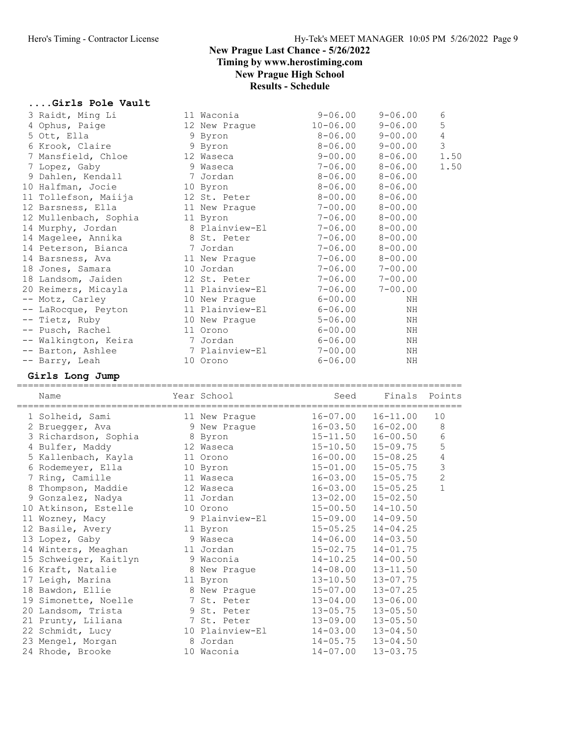## ....Girls Pole Vault

| 1 Solheid, Sami<br>2 Bruedder, Ava | 11 New Praque   | $16 - 07.00$<br>9 New Praque $16-03.50$ $16-02.00$ 8 | $16 - 11.00$ | 10     |
|------------------------------------|-----------------|------------------------------------------------------|--------------|--------|
| Name                               | Year School     | Seed                                                 | Finals       | Points |
| Girls Long Jump                    |                 |                                                      |              |        |
| -- Barry, Leah                     | 10 Orono        | $6 - 06.00$                                          | NH           |        |
| -- Barton, Ashlee                  | 7 Plainview-El  | $7 - 00.00$                                          | ΝH           |        |
| -- Walkington, Keira               | 7 Jordan        | $6 - 06.00$                                          | NH           |        |
| -- Pusch, Rachel                   | 11 Orono        | $6 - 00.00$                                          | ΝH           |        |
| -- Tietz, Ruby                     | 10 New Praque   | $5 - 06.00$                                          | ΝH           |        |
| -- LaRocque, Peyton                | 11 Plainview-El | $6 - 06.00$                                          | NH           |        |
| -- Motz, Carley                    | 10 New Praque   | $6 - 00.00$                                          | NH           |        |
| 20 Reimers, Micayla                | 11 Plainview-El | $7 - 06.00$                                          | $7 - 00.00$  |        |
| 18 Landsom, Jaiden                 | 12 St. Peter    | $7 - 06.00$                                          | $7 - 00.00$  |        |
| 18 Jones, Samara                   | 10 Jordan       | $7 - 06.00$                                          | $7 - 00.00$  |        |
| 14 Barsness, Ava                   | 11 New Prague   | $7 - 06.00$                                          | $8 - 00.00$  |        |
| 14 Peterson, Bianca                | 7 Jordan        | $7 - 06.00$                                          | $8 - 00.00$  |        |
| 14 Magelee, Annika                 | 8 St. Peter     | $7 - 06.00$                                          | $8 - 00.00$  |        |
| 14 Murphy, Jordan                  | 8 Plainview-El  | $7 - 06.00$                                          | $8 - 00.00$  |        |
| 12 Mullenbach, Sophia              | 11 Byron        | $7 - 06.00$                                          | $8 - 00.00$  |        |
| 12 Barsness, Ella                  | 11 New Prague   | $7 - 00.00$                                          | $8 - 00.00$  |        |
| 11 Tollefson, Maiija               | 12 St. Peter    | $8 - 00.00$                                          | $8 - 06.00$  |        |
| 10 Halfman, Jocie                  | 10 Byron        | $8 - 06.00$                                          | $8 - 06.00$  |        |
| 9 Dahlen, Kendall                  | 7 Jordan        | $8 - 06.00$                                          | $8 - 06.00$  |        |
| 7 Lopez, Gaby                      | 9 Waseca        | $7 - 06.00$                                          | $8 - 06.00$  | 1.50   |
| 7 Mansfield, Chloe                 | 12 Waseca       | $9 - 00.00$                                          | $8 - 06.00$  | 1.50   |
| 6 Krook, Claire                    | 9 Byron         | $8 - 06.00$                                          | $9 - 00.00$  | 3      |
| 5 Ott, Ella                        | 9 Byron         | $8 - 06.00$                                          | $9 - 00.00$  | 4      |
| 4 Ophus, Paige                     | 12 New Praque   | $10 - 06.00$                                         | $9 - 06.00$  | 5      |
| 3 Raidt, Ming Li                   | 11 Waconia      | $9 - 06.00$                                          | $9 - 06.00$  | 6      |
|                                    |                 |                                                      |              |        |

| T POTHETA' DAMIT      | IT NEW LIQUUE   | $\bot$ 0 $-$ 0 $\prime\,$ . 0 0 | $\bot$ 0 $\top$ $\bot$ $\bot$ . 0 0 | ⊥∪             |
|-----------------------|-----------------|---------------------------------|-------------------------------------|----------------|
| 2 Bruegger, Ava       | 9 New Prague    | $16 - 03.50$                    | $16 - 02.00$                        | 8              |
| 3 Richardson, Sophia  | 8 Byron         | $15 - 11.50$                    | $16 - 00.50$                        | $6\,$          |
| 4 Bulfer, Maddy       | 12 Waseca       | $15 - 10.50$                    | $15 - 09.75$                        | 5              |
| 5 Kallenbach, Kayla   | 11 Orono        | $16 - 00.00$                    | $15 - 08.25$                        | $\overline{4}$ |
| 6 Rodemeyer, Ella     | 10 Byron        | $15 - 01.00$                    | $15 - 05.75$                        | $\mathfrak{Z}$ |
| 7 Ring, Camille       | 11 Waseca       | $16 - 03.00$                    | $15 - 05.75$                        | $\mathbf{2}$   |
| 8 Thompson, Maddie    | 12 Waseca       | $16 - 03.00$                    | $15 - 05.25$                        | $\mathbf 1$    |
| 9 Gonzalez, Nadya     | 11 Jordan       | $13 - 02.00$                    | $15 - 02.50$                        |                |
| 10 Atkinson, Estelle  | 10 Orono        | $15 - 00.50$                    | $14 - 10.50$                        |                |
| 11 Wozney, Macy       | 9 Plainview-El  | 15-09.00                        | $14 - 09.50$                        |                |
| 12 Basile, Avery      | 11 Byron        | $15 - 05.25$                    | $14 - 04.25$                        |                |
| 13 Lopez, Gaby        | 9 Waseca        | $14 - 06.00$                    | $14 - 03.50$                        |                |
| 14 Winters, Meaghan   | 11 Jordan       | $15 - 02.75$                    | $14 - 01.75$                        |                |
| 15 Schweiger, Kaitlyn | 9 Waconia       | $14 - 10.25$                    | $14 - 00.50$                        |                |
| 16 Kraft, Natalie     | 8 New Praque    | $14 - 08.00$                    | $13 - 11.50$                        |                |
| 17 Leigh, Marina      | 11 Byron        | $13 - 10.50$                    | $13 - 07.75$                        |                |
| 18 Bawdon, Ellie      | 8 New Prague    | 15-07.00                        | $13 - 07.25$                        |                |
| 19 Simonette, Noelle  | 7 St. Peter     | $13 - 04.00$                    | $13 - 06.00$                        |                |
| 20 Landsom, Trista    | 9 St. Peter     | $13 - 05.75$                    | $13 - 05.50$                        |                |
| 21 Prunty, Liliana    | 7 St. Peter     | $13 - 09.00$                    | $13 - 05.50$                        |                |
| 22 Schmidt, Lucy      | 10 Plainview-El | $14 - 03.00$                    | $13 - 04.50$                        |                |
| 23 Mengel, Morgan     | 8 Jordan        | $14 - 05.75$                    | $13 - 04.50$                        |                |
| 24 Rhode, Brooke      | 10 Waconia      | $14 - 07.00$                    | $13 - 03.75$                        |                |
|                       |                 |                                 |                                     |                |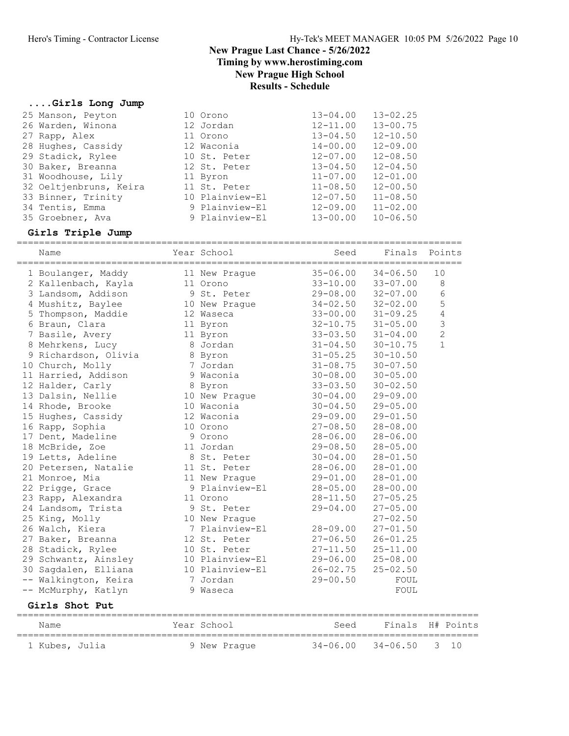## ....Girls Long Jump

| 10 Orono        | $13 - 02.25$<br>$13 - 04.00$ |
|-----------------|------------------------------|
| 12 Jordan       | $13 - 00.75$<br>$12 - 11.00$ |
| 11 Orono        | $12 - 10.50$<br>$13 - 04.50$ |
| 12 Waconia      | $14 - 00.00$<br>$12 - 09.00$ |
| 10 St. Peter    | $12 - 08.50$<br>$12 - 07.00$ |
| 12 St. Peter    | $12 - 04.50$<br>$13 - 04.50$ |
| 11 Byron        | $12 - 01.00$<br>$11 - 07.00$ |
| 11 St. Peter    | $12 - 00.50$<br>$11 - 08.50$ |
| 10 Plainview-El | $11 - 08.50$<br>$12 - 07.50$ |
| 9 Plainview-El  | $11 - 02.00$<br>$12 - 09.00$ |
| 9 Plainview-El  | $13 - 00.00$<br>$10 - 06.50$ |
|                 |                              |

## Girls Triple Jump

|    | Name                 | Year School     | Seed         | Finals       | Points         |
|----|----------------------|-----------------|--------------|--------------|----------------|
|    | 1 Boulanger, Maddy   | 11 New Praque   | $35 - 06.00$ | $34 - 06.50$ | 10             |
|    | 2 Kallenbach, Kayla  | 11 Orono        | $33 - 10.00$ | $33 - 07.00$ | 8              |
|    | 3 Landsom, Addison   | 9 St. Peter     | $29 - 08.00$ | $32 - 07.00$ | 6              |
|    | 4 Mushitz, Baylee    | 10 New Prague   | $34 - 02.50$ | $32 - 02.00$ | 5              |
|    | 5 Thompson, Maddie   | 12 Waseca       | $33 - 00.00$ | $31 - 09.25$ | $\overline{4}$ |
|    | 6 Braun, Clara       | 11 Byron        | $32 - 10.75$ | $31 - 05.00$ | 3              |
|    | 7 Basile, Avery      | 11 Byron        | $33 - 03.50$ | $31 - 04.00$ | $\overline{2}$ |
|    | 8 Mehrkens, Lucy     | 8 Jordan        | $31 - 04.50$ | $30 - 10.75$ | $\mathbf{1}$   |
|    | 9 Richardson, Olivia | 8 Byron         | $31 - 05.25$ | $30 - 10.50$ |                |
|    | 10 Church, Molly     | 7 Jordan        | $31 - 08.75$ | $30 - 07.50$ |                |
|    | 11 Harried, Addison  | 9 Waconia       | $30 - 08.00$ | $30 - 05.00$ |                |
|    | 12 Halder, Carly     | 8 Byron         | $33 - 03.50$ | $30 - 02.50$ |                |
|    | 13 Dalsin, Nellie    | 10 New Praque   | $30 - 04.00$ | $29 - 09.00$ |                |
|    | 14 Rhode, Brooke     | 10 Waconia      | $30 - 04.50$ | $29 - 05.00$ |                |
|    | 15 Hughes, Cassidy   | 12 Waconia      | $29 - 09.00$ | $29 - 01.50$ |                |
|    | 16 Rapp, Sophia      | 10 Orono        | $27 - 08.50$ | $28 - 08.00$ |                |
|    | 17 Dent, Madeline    | 9 Orono         | $28 - 06.00$ | $28 - 06.00$ |                |
|    | 18 McBride, Zoe      | 11 Jordan       | $29 - 08.50$ | $28 - 05.00$ |                |
|    | 19 Letts, Adeline    | 8 St. Peter     | $30 - 04.00$ | $28 - 01.50$ |                |
|    | 20 Petersen, Natalie | 11 St. Peter    | $28 - 06.00$ | $28 - 01.00$ |                |
|    | 21 Monroe, Mia       | 11 New Praque   | $29 - 01.00$ | $28 - 01.00$ |                |
|    | 22 Prigge, Grace     | 9 Plainview-El  | $28 - 05.00$ | $28 - 00.00$ |                |
|    | 23 Rapp, Alexandra   | 11 Orono        | $28 - 11.50$ | $27 - 05.25$ |                |
|    | 24 Landsom, Trista   | 9 St. Peter     | $29 - 04.00$ | $27 - 05.00$ |                |
|    | 25 King, Molly       | 10 New Praque   |              | $27 - 02.50$ |                |
|    | 26 Walch, Kiera      | 7 Plainview-El  | $28 - 09.00$ | $27 - 01.50$ |                |
|    | 27 Baker, Breanna    | 12 St. Peter    | $27 - 06.50$ | $26 - 01.25$ |                |
|    | 28 Stadick, Rylee    | 10 St. Peter    | $27 - 11.50$ | $25 - 11.00$ |                |
|    | 29 Schwantz, Ainsley | 10 Plainview-El | $29 - 06.00$ | $25 - 08.00$ |                |
| 30 | Sagdalen, Elliana    | 10 Plainview-El | $26 - 02.75$ | $25 - 02.50$ |                |
|    | Walkington, Keira    | 7 Jordan        | $29 - 00.50$ | FOUL         |                |
|    | -- McMurphy, Katlyn  | 9 Waseca        |              | FOUL         |                |
|    |                      |                 |              |              |                |

## Girls Shot Put

| Name           | Year School  | Seed | Finals H# Points               |  |
|----------------|--------------|------|--------------------------------|--|
| 1 Kubes, Julia | 9 New Praque |      | $34 - 06.00$ $34 - 06.50$ 3 10 |  |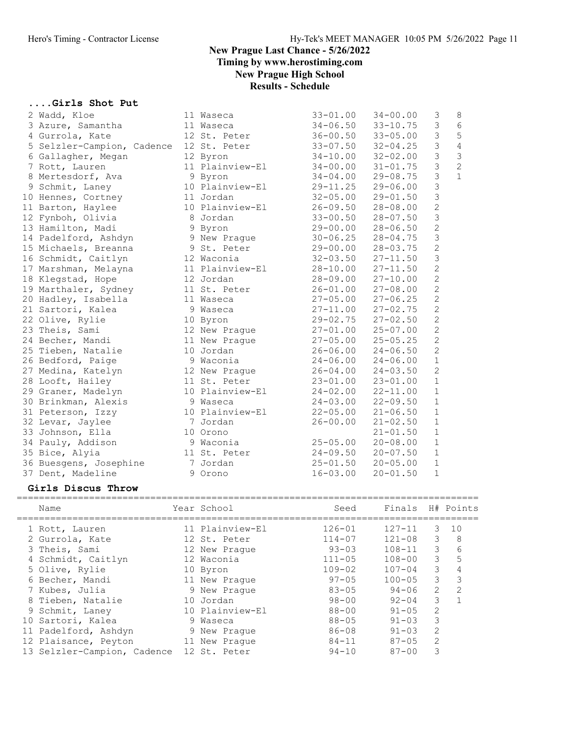#### ....Girls Shot Put

| 2 Wadd, Kloe               | 11 Waseca       | $33 - 01.00$ | $34 - 00.00$ | 3              | 8              |
|----------------------------|-----------------|--------------|--------------|----------------|----------------|
| 3 Azure, Samantha          | 11 Waseca       | $34 - 06.50$ | $33 - 10.75$ | $\mathfrak{Z}$ | 6              |
| 4 Gurrola, Kate            | 12 St. Peter    | $36 - 00.50$ | $33 - 05.00$ | 3              | 5              |
| 5 Selzler-Campion, Cadence | 12 St. Peter    | $33 - 07.50$ | $32 - 04.25$ | $\mathfrak{Z}$ | $\overline{4}$ |
| 6 Gallagher, Megan         | 12 Byron        | $34 - 10.00$ | $32 - 02.00$ | $\mathfrak{Z}$ | $\mathfrak{Z}$ |
| 7 Rott, Lauren             | 11 Plainview-El | $34 - 00.00$ | $31 - 01.75$ | $\mathfrak{Z}$ | $\overline{c}$ |
| 8 Mertesdorf, Ava          | 9 Byron         | $34 - 04.00$ | $29 - 08.75$ | $\mathfrak{Z}$ | $\mathbf{1}$   |
| 9 Schmit, Laney            | 10 Plainview-El | $29 - 11.25$ | $29 - 06.00$ | $\mathfrak{Z}$ |                |
| 10 Hennes, Cortney         | 11 Jordan       | $32 - 05.00$ | $29 - 01.50$ | 3              |                |
| 11 Barton, Haylee          | 10 Plainview-El | $26 - 09.50$ | $28 - 08.00$ | $\overline{c}$ |                |
| 12 Fynboh, Olivia          | 8 Jordan        | $33 - 00.50$ | $28 - 07.50$ | $\mathcal{S}$  |                |
| 13 Hamilton, Madi          | 9 Byron         | $29 - 00.00$ | $28 - 06.50$ | $\overline{c}$ |                |
| 14 Padelford, Ashdyn       | 9 New Praque    | $30 - 06.25$ | $28 - 04.75$ | $\mathfrak{Z}$ |                |
| 15 Michaels, Breanna       | 9 St. Peter     | 29-00.00     | $28 - 03.75$ | $\overline{c}$ |                |
| 16 Schmidt, Caitlyn        | 12 Waconia      | $32 - 03.50$ | $27 - 11.50$ | $\mathsf 3$    |                |
| 17 Marshman, Melayna       | 11 Plainview-El | $28 - 10.00$ | $27 - 11.50$ | $\overline{c}$ |                |
| 18 Klegstad, Hope          | 12 Jordan       | 28-09.00     | $27 - 10.00$ | $\overline{c}$ |                |
| 19 Marthaler, Sydney       | 11 St. Peter    | $26 - 01.00$ | $27 - 08.00$ | $\overline{c}$ |                |
| 20 Hadley, Isabella        | 11 Waseca       | $27 - 05.00$ | $27 - 06.25$ | $\overline{c}$ |                |
| 21 Sartori, Kalea          | 9 Waseca        | $27 - 11.00$ | $27 - 02.75$ | $\overline{c}$ |                |
| 22 Olive, Rylie            | 10 Byron        | 29-02.75     | $27 - 02.50$ | $\overline{c}$ |                |
| 23 Theis, Sami             | 12 New Prague   | $27 - 01.00$ | $25 - 07.00$ | $\overline{c}$ |                |
| 24 Becher, Mandi           | 11 New Prague   | $27 - 05.00$ | $25 - 05.25$ | $\overline{c}$ |                |
| 25 Tieben, Natalie         | 10 Jordan       | $26 - 06.00$ | $24 - 06.50$ | $\overline{2}$ |                |
| 26 Bedford, Paige          | 9 Waconia       | $24 - 06.00$ | $24 - 06.00$ | $1\,$          |                |
| 27 Medina, Katelyn         | 12 New Prague   | $26 - 04.00$ | $24 - 03.50$ | $\overline{c}$ |                |
| 28 Looft, Hailey           | 11 St. Peter    | $23 - 01.00$ | $23 - 01.00$ | $\mathbf{1}$   |                |
| 29 Graner, Madelyn         | 10 Plainview-El | $24 - 02.00$ | $22 - 11.00$ | $\mathbf{1}$   |                |
| 30 Brinkman, Alexis        | 9 Waseca        | $24 - 03.00$ | $22 - 09.50$ | $\mathbf{1}$   |                |
| 31 Peterson, Izzy          | 10 Plainview-El | $22 - 05.00$ | $21 - 06.50$ | $\mathbf 1$    |                |
| 32 Levar, Jaylee           | 7 Jordan        | $26 - 00.00$ | $21 - 02.50$ | $\mathbf 1$    |                |
| 33 Johnson, Ella           | 10 Orono        |              | $21 - 01.50$ | $1\,$          |                |
| 34 Pauly, Addison          | 9 Waconia       | $25 - 05.00$ | $20 - 08.00$ | $1\,$          |                |
| 35 Bice, Alyia             | 11 St. Peter    | $24 - 09.50$ | $20 - 07.50$ | $\mathbf{1}$   |                |
| 36 Buesgens, Josephine     | 7 Jordan        | $25 - 01.50$ | $20 - 05.00$ | $\mathbf{1}$   |                |
| 37 Dent, Madeline          | 9 Orono         | $16 - 03.00$ | $20 - 01.50$ | $\mathbf{1}$   |                |

#### Girls Discus Throw

| Name                        | Year School     | Seed       | Finals H# Points |                |    |
|-----------------------------|-----------------|------------|------------------|----------------|----|
| 1 Rott, Lauren              | 11 Plainview-El | $126 - 01$ | $127 - 11$       | 3              | 10 |
| 2 Gurrola, Kate             | 12 St. Peter    | $114 - 07$ | $121 - 08$       | 3              | 8  |
| 3 Theis, Sami               | 12 New Praque   | $93 - 03$  | $108 - 11$       | 3              | 6  |
| 4 Schmidt, Caitlyn          | 12 Waconia      | $111 - 05$ | $108 - 00$       | 3              | 5  |
| 5 Olive, Rylie              | 10 Byron        | $109 - 02$ | $107 - 04$       | 3              | 4  |
| 6 Becher, Mandi             | 11 New Praque   | $97 - 05$  | $100 - 05$       | 3              | 3  |
| 7 Kubes, Julia              | 9 New Praque    | $83 - 05$  | $94 - 06$        | 2              | 2  |
| 8 Tieben, Natalie           | 10 Jordan       | $98 - 00$  | $92 - 04$        | 3              |    |
| 9 Schmit, Laney             | 10 Plainview-El | $88 - 00$  | $91 - 05$        | $\overline{2}$ |    |
| 10 Sartori, Kalea           | 9 Waseca        | $88 - 05$  | $91 - 03$        | 3              |    |
| 11 Padelford, Ashdyn        | 9 New Praque    | $86 - 08$  | $91 - 0.3$       | $\overline{2}$ |    |
| 12 Plaisance, Peyton        | 11 New Praque   | $84 - 11$  | $87 - 05$        | 2              |    |
| 13 Selzler-Campion, Cadence | 12 St. Peter    | $94 - 10$  | $87 - 00$        | 3              |    |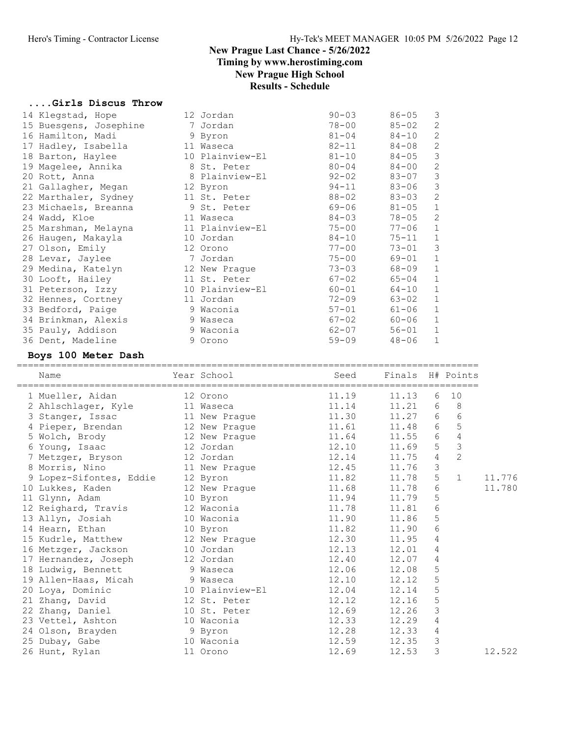#### ....Girls Discus Throw

| 14 Klegstad, Hope      | 12 Jordan       | $90 - 03$ | $86 - 05$ | 3              |
|------------------------|-----------------|-----------|-----------|----------------|
| 15 Buesgens, Josephine | 7 Jordan        | 78-00     | $85 - 02$ | $\mathbf{2}$   |
| 16 Hamilton, Madi      | 9 Byron         | $81 - 04$ | $84 - 10$ | 2              |
| 17 Hadley, Isabella    | 11 Waseca       | $82 - 11$ | 84-08     | $\mathbf{2}$   |
| 18 Barton, Haylee      | 10 Plainview-El | $81 - 10$ | $84 - 05$ | $\mathfrak{Z}$ |
| 19 Magelee, Annika     | 8 St. Peter     | $80 - 04$ | $84 - 00$ | $\mathbf{2}$   |
| 20 Rott, Anna          | 8 Plainview-El  | 92-02     | 83-07     | $\mathfrak{Z}$ |
| 21 Gallagher, Megan    | 12 Byron        | $94 - 11$ | $83 - 06$ | $\mathfrak{Z}$ |
| 22 Marthaler, Sydney   | 11 St. Peter    | $88 - 02$ | $83 - 03$ | $\mathbf{2}$   |
| 23 Michaels, Breanna   | 9 St. Peter     | 69-06     | $81 - 05$ | $\mathbf 1$    |
| 24 Wadd, Kloe          | 11 Waseca       | $84 - 03$ | $78 - 05$ | 2              |
| 25 Marshman, Melayna   | 11 Plainview-El | $75 - 00$ | $77 - 06$ | $\mathbf 1$    |
| 26 Haugen, Makayla     | 10 Jordan       | $84 - 10$ | $75 - 11$ | $\mathbf{1}$   |
| 27 Olson, Emily        | 12 Orono        | $77 - 00$ | $73 - 01$ | $\mathfrak{Z}$ |
| 28 Levar, Jaylee       | 7 Jordan        | $75 - 00$ | 69-01     | $\mathbf{1}$   |
| 29 Medina, Katelyn     | 12 New Praque   | $73 - 03$ | 68-09     | $\mathbf 1$    |
| 30 Looft, Hailey       | 11 St. Peter    | $67 - 02$ | $65 - 04$ | $\mathbf 1$    |
| 31 Peterson, Izzy      | 10 Plainview-El | 60-01     | 64-10     | $\mathbf{1}$   |
| 32 Hennes, Cortney     | 11 Jordan       | $72 - 09$ | 63-02     | $\mathbf{1}$   |
| 33 Bedford, Paige      | 9 Waconia       | $57 - 01$ | $61 - 06$ | $\mathbf 1$    |
| 34 Brinkman, Alexis    | 9 Waseca        | $67 - 02$ | $60 - 06$ | $\mathbf 1$    |
| 35 Pauly, Addison      | 9 Waconia       | $62 - 07$ | $56 - 01$ | $\mathbf 1$    |
| 36 Dent, Madeline      | 9 Orono         | $59 - 09$ | $48 - 06$ | $\mathbf{1}$   |
|                        |                 |           |           |                |

#### Boys 100 Meter Dash

| Name                                                                                       | Year School | Seed                               | Finals H# Points |                 |                |        |
|--------------------------------------------------------------------------------------------|-------------|------------------------------------|------------------|-----------------|----------------|--------|
| 1 Mueller, Aidan                                                                           | 12 Orono    | 11.19                              | 11.13            | 6               | 10             |        |
| 2 Ahlschlager, Kyle 11 Waseca 11.14                                                        |             |                                    | 11.21            |                 | 6 8            |        |
| 3 Stanger, Issac 11 New Prague 11.30 11.27 6                                               |             |                                    |                  |                 | $\sqrt{6}$     |        |
| 4 Pieper, Brendan 12 New Prague 11.61                                                      |             |                                    | 11.48            | $6\overline{6}$ | 5              |        |
| 5 Wolch, Brody 12 New Prague 11.64                                                         |             |                                    | $11.55$ 6        |                 | $\sqrt{4}$     |        |
| 6 Young, Isaac 12 Jordan                                                                   |             | $12.10$ $11.69$<br>$12.14$ $11.75$ |                  | 5 <sub>1</sub>  | $\mathfrak{Z}$ |        |
| 7 Metzger, Bryson 12 Jordan                                                                |             |                                    |                  | $\overline{4}$  | $\overline{2}$ |        |
| 8 Morris, Nino 11 New Prague 12.45                                                         |             |                                    | 11.76            | $\mathfrak{Z}$  |                |        |
| 9 Lopez-Sifontes, Eddie 12 Byron 11.82 11.78<br>10 Lukkes, Kaden 12 New Prague 11.68 11.78 |             |                                    |                  | $5\phantom{.}$  | $\mathbf{1}$   | 11.776 |
|                                                                                            |             |                                    |                  | $6\,$           |                | 11.780 |
| 11 Glynn, Adam 10 Byron                                                                    |             | 11.94                              | 11.79            | $\mathsf S$     |                |        |
| 12 Reighard, Travis 12 Waconia                                                             |             | 11.78                              | 11.81            | $\sqrt{6}$      |                |        |
| 13 Allyn, Josiah 10 Waconia                                                                |             | 11.90                              | 11.86            | 5               |                |        |
| 14 Hearn, Ethan 10 Byron                                                                   |             | 11.82                              | 11.90            | 6               |                |        |
| 15 Kudrle, Matthew 12 New Prague 12.30                                                     |             |                                    | 11.95            | $\overline{4}$  |                |        |
| 16 Metzger, Jackson 10 Jordan                                                              |             | 12.13                              | 12.01            | 4               |                |        |
| 17 Hernandez, Joseph 12 Jordan                                                             |             | 12.40                              | 12.07            | $\overline{4}$  |                |        |
| 18 Ludwig, Bennett 9 Waseca                                                                |             | 12.06                              | 12.08            | 5               |                |        |
| 19 Allen-Haas, Micah (19 Waseca)<br>20 Loya, Dominic (10 Plainview-El                      |             | 12.10                              | 12.12            | 5               |                |        |
|                                                                                            |             | 12.04                              | 12.14            | 5               |                |        |
| 21 Zhang, David 12 St. Peter                                                               |             | 12.12                              | 12.16            | 5               |                |        |
| 22 Zhang, Daniel 10 St. Peter                                                              |             | 12.69                              | 12.26            | $\mathfrak{Z}$  |                |        |
| 23 Vettel, Ashton 10 Waconia                                                               |             | 12.33                              | 12.29            | 4               |                |        |
| 9 Byron<br>24 Olson, Brayden                                                               |             | 12.28                              | 12.33            | 4               |                |        |
| 25 Dubay, Gabe 10 Waconia                                                                  |             | 12.59                              | 12.35            | 3               |                |        |
| 26 Hunt, Rylan 11 Orono                                                                    |             | 12.69                              | 12.53            | 3               |                | 12.522 |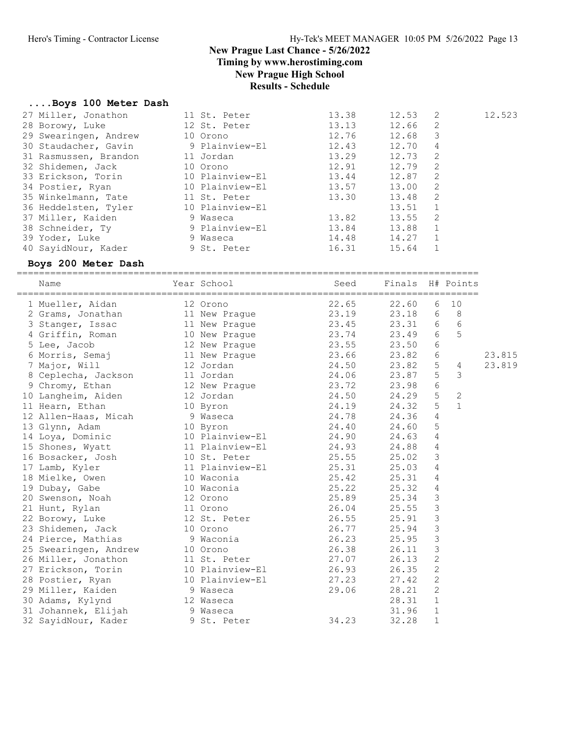Timing by www.herostiming.com

New Prague High School

## Results - Schedule

## ....Boys 100 Meter Dash

| 13.13 | 12.66 | 2                                                           |                                                                   |
|-------|-------|-------------------------------------------------------------|-------------------------------------------------------------------|
|       |       |                                                             |                                                                   |
|       |       | 3                                                           |                                                                   |
|       | 12.70 | 4                                                           |                                                                   |
| 13.29 |       | -2                                                          |                                                                   |
|       |       | 2                                                           |                                                                   |
|       |       | 2                                                           |                                                                   |
|       | 13.00 | -2                                                          |                                                                   |
| 13.30 |       | 2                                                           |                                                                   |
|       | 13.51 | 1                                                           |                                                                   |
| 13.82 |       | -2                                                          |                                                                   |
|       | 13.88 | $\mathbf{1}$                                                |                                                                   |
|       |       |                                                             |                                                                   |
|       | 15.64 |                                                             |                                                                   |
|       |       | 12.76<br>12.43<br>12.91<br>13.44<br>13.57<br>13.84<br>16.31 | 12.68<br>12.73<br>12.79<br>12.87<br>13.48<br>13.55<br>14.48 14.27 |

### Boys 200 Meter Dash

===================================================================================

| Name                  | Year School     | Seed  | Finals |                | H# Points    |        |
|-----------------------|-----------------|-------|--------|----------------|--------------|--------|
| 1 Mueller, Aidan      | 12 Orono        | 22.65 | 22.60  | 6              | 10           |        |
| 2 Grams, Jonathan     | 11 New Prague   | 23.19 | 23.18  | 6              | 8            |        |
| 3 Stanger, Issac      | 11 New Prague   | 23.45 | 23.31  | 6              | $6\,$        |        |
| 4 Griffin, Roman      | 10 New Prague   | 23.74 | 23.49  | 6              | 5            |        |
| 5 Lee, Jacob          | 12 New Praque   | 23.55 | 23.50  | $6\,$          |              |        |
| 6 Morris, Semaj       | 11 New Prague   | 23.66 | 23.82  | $\epsilon$     |              | 23.815 |
| 7 Major, Will         | 12 Jordan       | 24.50 | 23.82  | $\mathsf S$    | 4            | 23.819 |
| 8 Ceplecha, Jackson   | 11 Jordan       | 24.06 | 23.87  | 5              | 3            |        |
| 9 Chromy, Ethan       | 12 New Prague   | 23.72 | 23.98  | $6\,$          |              |        |
| 10 Langheim, Aiden    | 12 Jordan       | 24.50 | 24.29  | 5              | $\mathbf{2}$ |        |
| 11 Hearn, Ethan       | 10 Byron        | 24.19 | 24.32  | 5              | $\mathbf{1}$ |        |
| 12 Allen-Haas, Micah  | 9 Waseca        | 24.78 | 24.36  | $\overline{4}$ |              |        |
| 13 Glynn, Adam        | 10 Byron        | 24.40 | 24.60  | $\mathsf S$    |              |        |
| 14 Loya, Dominic      | 10 Plainview-El | 24.90 | 24.63  | $\overline{4}$ |              |        |
| 15 Shones, Wyatt      | 11 Plainview-El | 24.93 | 24.88  | $\sqrt{4}$     |              |        |
| 16 Bosacker, Josh     | 10 St. Peter    | 25.55 | 25.02  | $\mathcal{S}$  |              |        |
| 17 Lamb, Kyler        | 11 Plainview-El | 25.31 | 25.03  | $\overline{4}$ |              |        |
| 18 Mielke, Owen       | 10 Waconia      | 25.42 | 25.31  | 4              |              |        |
| 19 Dubay, Gabe        | 10 Waconia      | 25.22 | 25.32  | $\overline{4}$ |              |        |
| 20 Swenson, Noah      | 12 Orono        | 25.89 | 25.34  | $\mathcal{S}$  |              |        |
| 21 Hunt, Rylan        | 11 Orono        | 26.04 | 25.55  | $\mathsf 3$    |              |        |
| 22 Borowy, Luke       | 12 St. Peter    | 26.55 | 25.91  | $\mathfrak{Z}$ |              |        |
| 23 Shidemen, Jack     | 10 Orono        | 26.77 | 25.94  | $\mathfrak{Z}$ |              |        |
| 24 Pierce, Mathias    | 9 Waconia       | 26.23 | 25.95  | $\mathcal{S}$  |              |        |
| 25 Swearingen, Andrew | 10 Orono        | 26.38 | 26.11  | $\mathfrak{Z}$ |              |        |
| 26 Miller, Jonathon   | 11 St. Peter    | 27.07 | 26.13  | $\overline{c}$ |              |        |
| 27 Erickson, Torin    | 10 Plainview-El | 26.93 | 26.35  | $\mathbf{2}$   |              |        |
| 28 Postier, Ryan      | 10 Plainview-El | 27.23 | 27.42  | 2              |              |        |
| 29 Miller, Kaiden     | 9 Waseca        | 29.06 | 28.21  | 2              |              |        |
| 30 Adams, Kylynd      | 12 Waseca       |       | 28.31  | $\mathbf{1}$   |              |        |
| 31 Johannek, Elijah   | 9 Waseca        |       | 31.96  | $\mathbf{1}$   |              |        |
| 32 SayidNour, Kader   | 9 St. Peter     | 34.23 | 32.28  | 1              |              |        |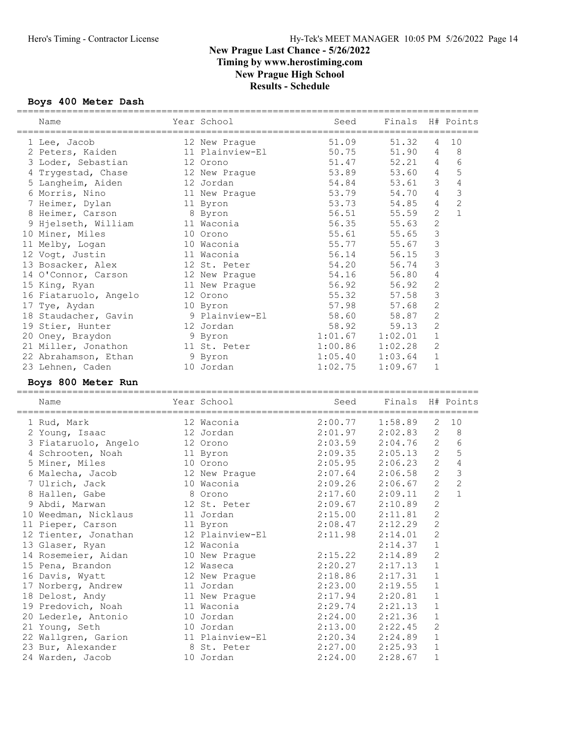#### Boys 400 Meter Dash

| Name                                      | Year School                 | Seed               | Finals H# Points   |                |                |
|-------------------------------------------|-----------------------------|--------------------|--------------------|----------------|----------------|
| 1 Lee, Jacob                              | 12 New Praque               | 51.09              | 51.32              | 4              | 10             |
| 2 Peters, Kaiden                          | 11 Plainview-El             | 50.75              | 51.90              | 4              | 8              |
| 3 Loder, Sebastian                        | 12 Orono                    | 51.47              | 52.21              | 4              | $6\,$          |
| 4 Trygestad, Chase                        | 12 New Prague               | 53.89              | 53.60              | 4              | 5              |
| 5 Langheim, Aiden                         | 12 Jordan                   | 54.84              | 53.61              | 3              | 4              |
| 6 Morris, Nino                            | 11 New Prague               | 53.79              | 54.70              | 4              | $\mathfrak{Z}$ |
| 7 Heimer, Dylan                           | 11 Byron                    | 53.73              | 54.85              | 4              | $\overline{c}$ |
| 8 Heimer, Carson                          | 8 Byron                     | 56.51              | 55.59              | $\mathbf{2}$   | $\mathbf{1}$   |
| 9 Hjelseth, William                       | 11 Waconia                  | 56.35              | 55.63              | $\mathbf{2}$   |                |
| 10 Miner, Miles                           | 10 Orono                    | 55.61              | 55.65              | $\mathfrak{Z}$ |                |
| 11 Melby, Logan                           | 10 Waconia                  | 55.77              | 55.67              | 3              |                |
| 12 Vogt, Justin                           | 11 Waconia                  | 56.14              | 56.15              | 3              |                |
| 13 Bosacker, Alex                         | 12 St. Peter                | 54.20              | 56.74              | 3              |                |
| 14 O'Connor, Carson                       | 12 New Prague               | 54.16              | 56.80              | 4              |                |
|                                           | 11 New Prague               | 56.92              | 56.92              | $\mathbf{2}$   |                |
| 15 King, Ryan<br>16 Fiataruolo, Angelo    | 12 Orono                    | 55.32              | 57.58              | $\mathfrak{Z}$ |                |
|                                           |                             | 57.98              | 57.68              | $\mathbf{2}$   |                |
| 17 Tye, Aydan                             | 10 Byron<br>9 Plainview-El  |                    | 58.87              | $\mathbf{2}$   |                |
| 18 Staudacher, Gavin                      |                             | 58.60              |                    |                |                |
| 19 Stier, Hunter                          | 12 Jordan                   | 58.92              | 59.13              | $\mathbf{2}$   |                |
| 20 Oney, Braydon                          | 9 Byron                     | 1:01.67            | 1:02.01            | $\mathbf{1}$   |                |
| 21 Miller, Jonathon                       | 11 St. Peter                | 1:00.86            | 1:02.28            | $\mathbf{2}$   |                |
| 22 Abrahamson, Ethan                      | 9 Byron                     | 1:05.40            | 1:03.64            | $1\,$          |                |
| 23 Lehnen, Caden                          | 10 Jordan                   | 1:02.75            | 1:09.67            | $\mathbf 1$    |                |
| Boys 800 Meter Run                        |                             |                    |                    |                |                |
|                                           |                             |                    |                    |                |                |
| Name                                      | Year School                 | Seed               | Finals H# Points   |                |                |
| 1 Rud, Mark                               | 12 Waconia                  | 2:00.77            | 1:58.89            | 2              | 10             |
|                                           | 12 Jordan                   | 2:01.97            | 2:02.83            | $\mathbf{2}$   | 8              |
| 2 Young, Isaac                            | 12 Orono                    |                    |                    | 2              | 6              |
| 3 Fiataruolo, Angelo<br>4 Schrooten, Noah |                             | 2:03.59            | 2:04.76<br>2:05.13 | $\mathbf{2}$   | 5              |
|                                           | 11 Byron<br>10 Orono        | 2:09.35<br>2:05.95 | 2:06.23            | 2              | $\sqrt{4}$     |
| 5 Miner, Miles                            |                             | 2:07.64            | 2:06.58            | $\mathbf{2}$   | $\mathcal{S}$  |
| 6 Malecha, Jacob<br>7 Ulrich, Jack        | 12 New Prague<br>10 Waconia |                    | 2:06.67            | $\overline{c}$ | $\overline{c}$ |
| 8 Hallen, Gabe                            | 8 Orono                     | 2:09.26<br>2:17.60 | 2:09.11            | $\mathbf{2}$   | $\mathbf{1}$   |
| 9 Abdi, Marwan                            | 12 St. Peter                |                    |                    | $\mathbf{2}$   |                |
| 10 Weedman, Nicklaus                      | 11 Jordan                   | 2:09.67<br>2:15.00 | 2:10.89<br>2:11.81 | 2              |                |
|                                           |                             |                    |                    |                |                |
| 11 Pieper, Carson                         | 11 Byron<br>12 Plainview-El | 2:08.47<br>2:11.98 | $2:12.29$ 2        | $\mathbf{2}$   |                |
| 12 Tienter, Jonathan                      | 12 Waconia                  |                    | 2:14.01<br>2:14.37 | $\mathbf 1$    |                |
| 13 Glaser, Ryan<br>14 Rosemeier, Aidan    |                             | 2:15.22            | 2:14.89            | 2              |                |
|                                           | 10 New Prague               |                    | 2:17.13            | $\mathbf{1}$   |                |
| 15 Pena, Brandon                          | 12 Waseca                   | 2:20.27            |                    | 1              |                |
| 16 Davis, Wyatt                           | 12 New Prague<br>11 Jordan  | 2:18.86<br>2:23.00 | 2:17.31<br>2:19.55 | $\mathbf 1$    |                |
| 17 Norberg, Andrew                        |                             | 2:17.94            |                    | $\mathbf{1}$   |                |
| 18 Delost, Andy                           | 11 New Prague<br>11 Waconia |                    | 2:20.81            | $\mathbf 1$    |                |
| 19 Predovich, Noah<br>20 Lederle, Antonio | 10 Jordan                   | 2:29.74<br>2:24.00 | 2:21.13<br>2:21.36 | $\mathbf 1$    |                |
|                                           | 10 Jordan                   | 2:13.00            | 2:22.45            | 2              |                |
| 21 Young, Seth                            | 11 Plainview-El             | 2:20.34            |                    | $\mathbf 1$    |                |
| 22 Wallgren, Garion<br>23 Bur, Alexander  | 8 St. Peter                 | 2:27.00            | 2:24.89<br>2:25.93 | $\mathbf 1$    |                |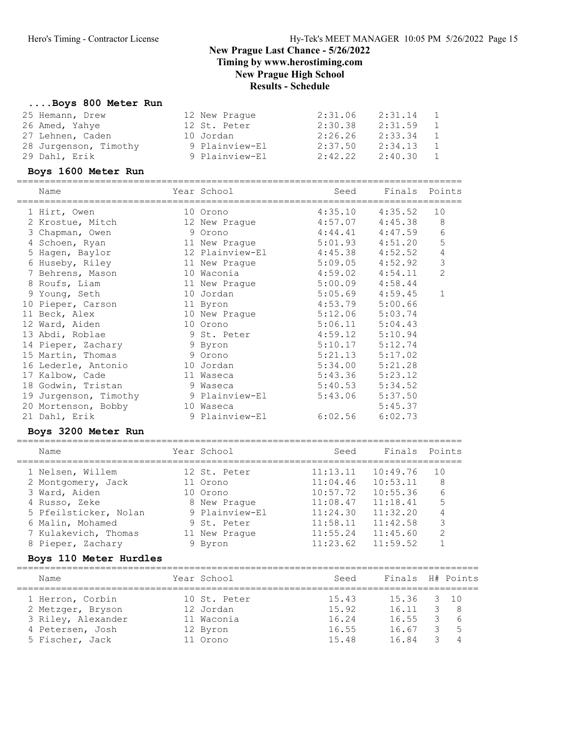#### ....Boys 800 Meter Run

| 25 Hemann, Drew       | 12 New Praque  | 2:31.06 | 2:31.14 | $\mathbf{1}$ |
|-----------------------|----------------|---------|---------|--------------|
| 26 Amed, Yahye        | 12 St. Peter   | 2:30.38 | 2:31.59 | 1            |
| 27 Lehnen, Caden      | 10 Jordan      | 2:26.26 | 2:33.34 | $\mathbf{1}$ |
| 28 Jurgenson, Timothy | 9 Plainview-El | 2:37.50 | 2:34.13 | $\mathbf{1}$ |
| 29 Dahl, Erik         | 9 Plainview-El | 2:42.22 | 2:40.30 | 1            |

#### Boys 1600 Meter Run

|    | Name                  | Year School     | Seed    | Finals  | Points         |
|----|-----------------------|-----------------|---------|---------|----------------|
|    | 1 Hirt, Owen          | 10 Orono        | 4:35.10 | 4:35.52 | 10             |
|    | 2 Krostue, Mitch      | 12 New Praque   | 4:57.07 | 4:45.38 | 8              |
|    | 3 Chapman, Owen       | 9 Orono         | 4:44.41 | 4:47.59 | 6              |
|    | 4 Schoen, Ryan        | 11 New Praque   | 5:01.93 | 4:51.20 | 5              |
|    | 5 Hagen, Baylor       | 12 Plainview-El | 4:45.38 | 4:52.52 | 4              |
|    | 6 Huseby, Riley       | 11 New Prague   | 5:09.05 | 4:52.92 | 3              |
|    | 7 Behrens, Mason      | 10 Waconia      | 4:59.02 | 4:54.11 | $\overline{2}$ |
|    | 8 Roufs, Liam         | 11 New Praque   | 5:00.09 | 4:58.44 |                |
|    | 9 Young, Seth         | 10 Jordan       | 5:05.69 | 4:59.45 | 1              |
| 10 | Pieper, Carson        | 11 Byron        | 4:53.79 | 5:00.66 |                |
|    | 11 Beck, Alex         | 10 New Prague   | 5:12.06 | 5:03.74 |                |
|    | 12 Ward, Aiden        | 10 Orono        | 5:06.11 | 5:04.43 |                |
|    | 13 Abdi, Roblae       | 9 St. Peter     | 4:59.12 | 5:10.94 |                |
|    | 14 Pieper, Zachary    | 9 Byron         | 5:10.17 | 5:12.74 |                |
|    | 15 Martin, Thomas     | 9 Orono         | 5:21.13 | 5:17.02 |                |
|    | 16 Lederle, Antonio   | 10 Jordan       | 5:34.00 | 5:21.28 |                |
| 17 | Kalbow, Cade          | 11 Waseca       | 5:43.36 | 5:23.12 |                |
|    | 18 Godwin, Tristan    | 9 Waseca        | 5:40.53 | 5:34.52 |                |
|    | 19 Jurgenson, Timothy | 9 Plainview-El  | 5:43.06 | 5:37.50 |                |
|    | 20 Mortenson, Bobby   | 10 Waseca       |         | 5:45.37 |                |
|    | 21 Dahl, Erik         | 9 Plainview-El  | 6:02.56 | 6:02.73 |                |

#### Boys 3200 Meter Run

| Name |                       | Year School    | Seed     | Finals   | Points |
|------|-----------------------|----------------|----------|----------|--------|
|      | 1 Nelsen, Willem      | 12 St. Peter   | 11:13.11 | 10:49.76 | 1 O    |
|      | 2 Montgomery, Jack    | 11 Orono       | 11:04.46 | 10:53.11 | 8      |
|      | 3 Ward, Aiden         | 10 Orono       | 10:57.72 | 10:55.36 | 6      |
|      | 4 Russo, Zeke         | 8 New Praque   | 11:08.47 | 11:18.41 | 5      |
|      | 5 Pfeilsticker, Nolan | 9 Plainview-El | 11:24.30 | 11:32.20 | 4      |
|      | 6 Malin, Mohamed      | 9 St. Peter    | 11:58.11 | 11:42.58 | 3      |
|      | 7 Kulakevich, Thomas  | 11 New Praque  | 11:55.24 | 11:45.60 | 2      |

8 Pieper, Zachary 9 Byron 11:23.62 11:59.52 1

## Boys 110 Meter Hurdles

| Name               | Year School  | Seed  | Finals H# Points |     |
|--------------------|--------------|-------|------------------|-----|
| 1 Herron, Corbin   | 10 St. Peter | 15.43 | 15.36 3 10       |     |
| 2 Metzger, Bryson  | 12 Jordan    | 15.92 | 16.11            | - 8 |
| 3 Riley, Alexander | 11 Waconia   | 16.24 | 16.55            | - 6 |
| 4 Petersen, Josh   | 12 Byron     | 16.55 | 16.67            | -5  |
| 5 Fischer, Jack    | 11 Orono     | 15.48 | 1684             |     |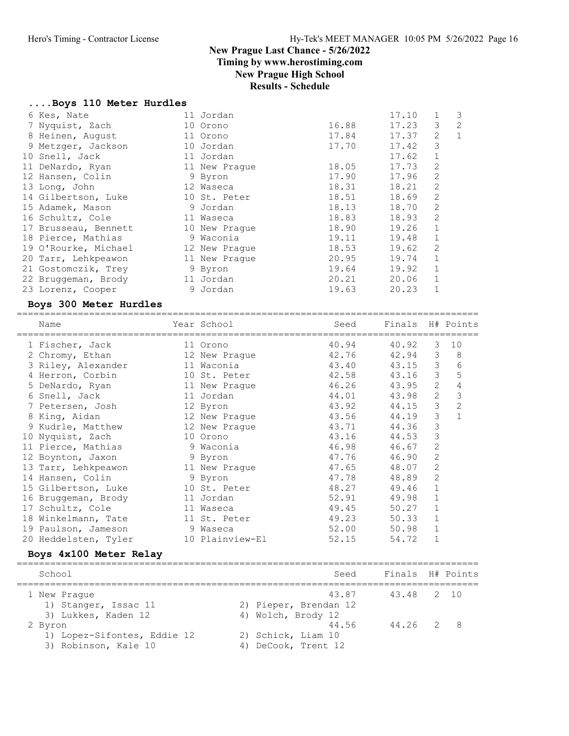Timing by www.herostiming.com

## New Prague High School

## Results - Schedule

#### ....Boys 110 Meter Hurdles

| 6 Kes, Nate          | 11 Jordan     |       | 17.10 |                | 3 |
|----------------------|---------------|-------|-------|----------------|---|
| 7 Nyquist, Zach      | 10 Orono      | 16.88 | 17.23 | 3              | 2 |
| 8 Heinen, August     | 11 Orono      | 17.84 | 17.37 | 2              | 1 |
| 9 Metzger, Jackson   | 10 Jordan     | 17.70 | 17.42 | 3              |   |
| 10 Snell, Jack       | 11 Jordan     |       | 17.62 | $\mathbf 1$    |   |
| 11 DeNardo, Ryan     | 11 New Praque | 18.05 | 17.73 | $\overline{c}$ |   |
| 12 Hansen, Colin     | 9 Byron       | 17.90 | 17.96 | 2              |   |
| 13 Long, John        | 12 Waseca     | 18.31 | 18.21 | $\overline{2}$ |   |
| 14 Gilbertson, Luke  | 10 St. Peter  | 18.51 | 18.69 | $\overline{c}$ |   |
| 15 Adamek, Mason     | 9 Jordan      | 18.13 | 18.70 | $\overline{c}$ |   |
| 16 Schultz, Cole     | 11 Waseca     | 18.83 | 18.93 | $\overline{c}$ |   |
| 17 Brusseau, Bennett | 10 New Praque | 18.90 | 19.26 | $\mathbf{1}$   |   |
| 18 Pierce, Mathias   | 9 Waconia     | 19.11 | 19.48 | $\mathbf{1}$   |   |
| 19 O'Rourke, Michael | 12 New Praque | 18.53 | 19.62 | 2              |   |
| 20 Tarr, Lehkpeawon  | 11 New Praque | 20.95 | 19.74 | 1              |   |
| 21 Gostomczik, Trey  | 9 Byron       | 19.64 | 19.92 | $\mathbf 1$    |   |
| 22 Bruggeman, Brody  | 11 Jordan     | 20.21 | 20.06 | 1              |   |
| 23 Lorenz, Cooper    | 9 Jordan      | 19.63 | 20.23 |                |   |
|                      |               |       |       |                |   |

#### Boys 300 Meter Hurdles

| Name                 | Year School     | Seed  | Finals H# Points |              |                |
|----------------------|-----------------|-------|------------------|--------------|----------------|
| 1 Fischer, Jack      | 11 Orono        | 40.94 | 40.92            | 3            | 10             |
| 2 Chromy, Ethan      | 12 New Prague   | 42.76 | 42.94            | 3            | 8              |
| 3 Riley, Alexander   | 11 Waconia      | 43.40 | 43.15            | 3            | 6              |
| 4 Herron, Corbin     | 10 St. Peter    | 42.58 | 43.16            | 3            | 5              |
| 5 DeNardo, Ryan      | 11 New Praque   | 46.26 | 43.95            | 2            | 4              |
| 6 Snell, Jack        | 11 Jordan       | 44.01 | 43.98            | 2            | 3              |
| 7 Petersen, Josh     | 12 Byron        | 43.92 | 44.15            | 3            | $\overline{2}$ |
| 8 King, Aidan        | 12 New Prague   | 43.56 | 44.19            | 3            | 1              |
| 9 Kudrle, Matthew    | 12 New Prague   | 43.71 | 44.36            | 3            |                |
| 10 Nyquist, Zach     | 10 Orono        | 43.16 | 44.53            | 3            |                |
| 11 Pierce, Mathias   | 9 Waconia       | 46.98 | 46.67            | 2            |                |
| 12 Boynton, Jaxon    | 9 Byron         | 47.76 | 46.90            | 2            |                |
| 13 Tarr, Lehkpeawon  | 11 New Prague   | 47.65 | 48.07            | 2            |                |
| 14 Hansen, Colin     | 9 Byron         | 47.78 | 48.89            | 2            |                |
| 15 Gilbertson, Luke  | 10 St. Peter    | 48.27 | 49.46            | $\mathbf{1}$ |                |
| 16 Bruggeman, Brody  | 11 Jordan       | 52.91 | 49.98            | $\mathbf 1$  |                |
| 17 Schultz, Cole     | 11 Waseca       | 49.45 | 50.27            |              |                |
| 18 Winkelmann, Tate  | 11 St. Peter    | 49.23 | 50.33            | $\mathbf{1}$ |                |
| 19 Paulson, Jameson  | 9 Waseca        | 52.00 | 50.98            | 1            |                |
| 20 Heddelsten, Tyler | 10 Plainview-El | 52.15 | 54.72            |              |                |

#### Boys 4x100 Meter Relay

| School                                 | Seed                           | Finals H# Points |
|----------------------------------------|--------------------------------|------------------|
| 1 New Praque<br>1) Stanger, Issac 11   | 43.87<br>2) Pieper, Brendan 12 | 43.48 2 10       |
| 3) Lukkes, Kaden 12                    | 4) Wolch, Brody 12             |                  |
| 2 Byron<br>1) Lopez-Sifontes, Eddie 12 | 44.56<br>2) Schick, Liam 10    | 44.26 2 8        |
| 3) Robinson, Kale 10                   | DeCook, Trent 12<br>4)         |                  |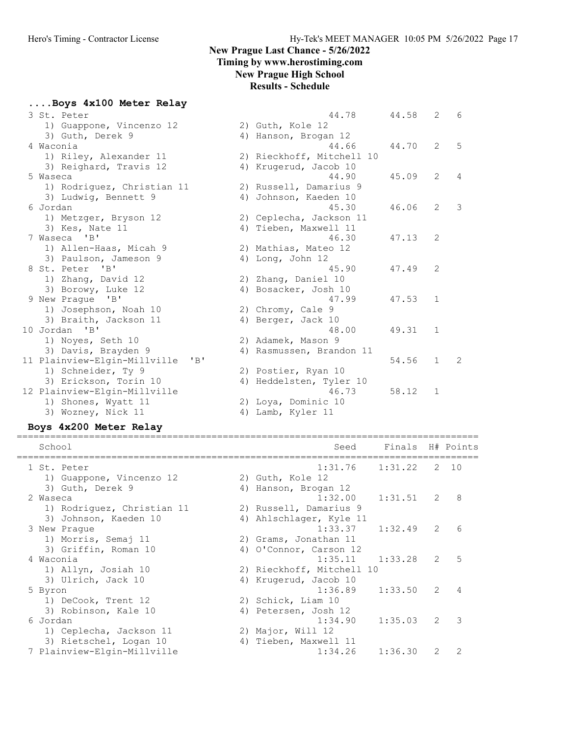....Boys 4x100 Meter Relay

44.78 44.58 2 6

44.90 45.09 2 4

45.30 46.06 2 3

46.30 47.13 2

45.90 47.49 2

47.99 47.53 1

48.00 49.31 1

44.70 2 5

54.56 1 2

 $58.12$  1

#### New Prague Last Chance - 5/26/2022 Timing by www.herostiming.com

## New Prague High School

#### Results - Schedule

2) Guth, Kole 12

4) Hanson, Brogan 12<br>44.66

2) Russell, Damarius 9 4) Johnson, Kaeden 10

2) Ceplecha, Jackson 11 4) Tieben, Maxwell 11

2) Mathias, Mateo 12 4) Long, John 12

2) Zhang, Daniel 10 4) Bosacker, Josh 10

2) Chromy, Cale 9 4) Berger, Jack 10

2) Adamek, Mason 9

2) Postier, Ryan 10

2) Loya, Dominic 10 4) Lamb, Kyler 11

4) Rasmussen, Brandon 11

4) Heddelsten, Tyler 10  $46.73$ 

2) Rieckhoff, Mitchell 10 4) Krugerud, Jacob 10

|           | 3 St. Peter                      |
|-----------|----------------------------------|
|           | 1) Guappone, Vincenzo 12         |
|           | 3) Guth, Derek 9                 |
| 4 Waconia |                                  |
|           | 1) Riley, Alexander 11           |
|           | 3) Reighard, Travis 12           |
| 5 Waseca  |                                  |
|           | 1) Rodriguez, Christian 11       |
|           | 3) Ludwig, Bennett 9             |
| 6 Jordan  |                                  |
|           | 1) Metzger, Bryson 12            |
|           | 3) Kes, Nate 11                  |
|           | 7 Waseca 'B'                     |
|           | 1) Allen-Haas, Micah 9           |
|           | 3) Paulson, Jameson 9            |
|           | 8 St. Peter 'B'                  |
|           | 1) Zhang, David 12               |
|           | 3) Borowy, Luke 12               |
|           | 9 New Prague 'B'                 |
|           | 1) Josephson, Noah 10            |
|           | 3) Braith, Jackson 11            |
|           | 10 Jordan 'B'                    |
|           | 1) Noyes, Seth 10                |
|           | 3) Davis, Brayden 9              |
|           | 11 Plainview-Elgin-Millville 'B' |
|           | 1) Schneider, Ty 9               |
|           | 3) Erickson, Torin 10            |
|           | 12 Plainview-Elgin-Millville     |
|           | 1) Shones, Wyatt 11              |
|           | 3) Wozney, Nick 11               |

#### Boys 4x200 Meter Relay

| School                      | Seed                      | Finals H# Points |               |                 |
|-----------------------------|---------------------------|------------------|---------------|-----------------|
| 1 St. Peter                 | 1:31.76                   | 1:31.22          |               | 2 10            |
| 1) Guappone, Vincenzo 12    | 2) Guth, Kole 12          |                  |               |                 |
| 3) Guth, Derek 9            | 4) Hanson, Brogan 12      |                  |               |                 |
| 2 Waseca                    | 1:32.00                   | $1:31.51$ 2 8    |               |                 |
| 1) Rodriguez, Christian 11  | 2) Russell, Damarius 9    |                  |               |                 |
| 3) Johnson, Kaeden 10       | 4) Ahlschlager, Kyle 11   |                  |               |                 |
| 3 New Praque                | 1:33.37                   | $1:32.49$ 2      |               | $6\overline{6}$ |
| 1) Morris, Semaj 11         | 2) Grams, Jonathan 11     |                  |               |                 |
| 3) Griffin, Roman 10        | 4) O'Connor, Carson 12    |                  |               |                 |
| 4 Waconia                   | $1:35.11$ $1:33.28$       |                  | $2^{\circ}$   | $\overline{5}$  |
| 1) Allyn, Josiah 10         | 2) Rieckhoff, Mitchell 10 |                  |               |                 |
| 3) Ulrich, Jack 10          | 4) Krugerud, Jacob 10     |                  |               |                 |
| 5 Byron                     | 1:36.89                   | 1:33.50          | $\mathcal{L}$ | $\overline{4}$  |
| 1) DeCook, Trent 12         | 2) Schick, Liam 10        |                  |               |                 |
| 3) Robinson, Kale 10        | 4) Petersen, Josh 12      |                  |               |                 |
| 6 Jordan                    | 1:34.90                   | 1:35.03          | $\mathcal{L}$ | 3               |
| 1) Ceplecha, Jackson 11     | 2) Major, Will 12         |                  |               |                 |
| 3) Rietschel, Logan 10      | 4) Tieben, Maxwell 11     |                  |               |                 |
| 7 Plainview-Elgin-Millville | 1:34.26                   | 1:36.30          | $\mathcal{L}$ | $\mathcal{P}$   |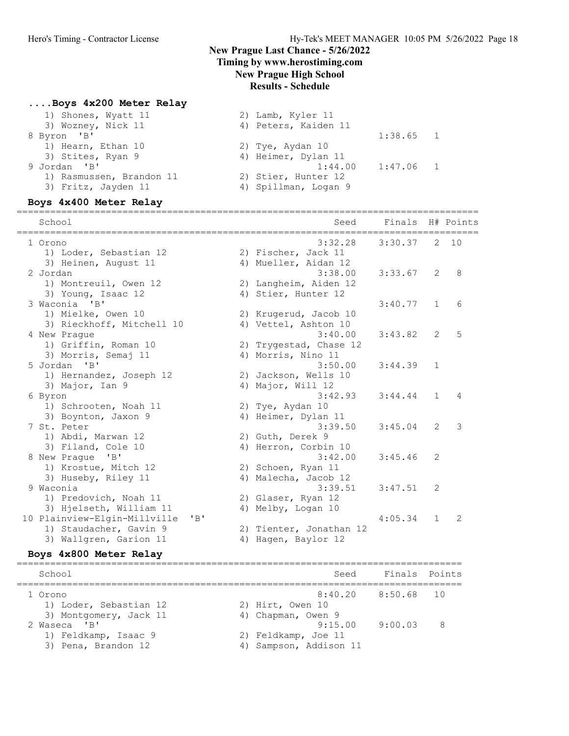## Timing by www.herostiming.com

## New Prague High School

## Results - Schedule

### ....Boys 4x200 Meter Relay

| 1) Shones, Wyatt 11      | 2) Lamb, Kyler 11      |  |
|--------------------------|------------------------|--|
| 3) Wozney, Nick 11       | 4) Peters, Kaiden 11   |  |
| 8 Byron 'B'              | $1:38.65$ 1            |  |
| 1) Hearn, Ethan 10       | 2) Tye, Aydan 10       |  |
| 3) Stites, Ryan 9        | 4) Heimer, Dylan 11    |  |
| 9 Jordan 'B'             | $1:47.06$ 1<br>1:44.00 |  |
| 1) Rasmussen, Brandon 11 | 2) Stier, Hunter 12    |  |
| 3) Fritz, Jayden 11      | 4) Spillman, Logan 9   |  |
|                          |                        |  |

## Boys 4x400 Meter Relay

| School                                   | ==================================<br>Seed | Finals  |               | H# Points |
|------------------------------------------|--------------------------------------------|---------|---------------|-----------|
| 1 Orono<br>1) Loder, Sebastian 12        | 3:32.28<br>2) Fischer, Jack 11             | 3:30.37 |               | 2, 10     |
| 3) Heinen, August 11                     | 4) Mueller, Aidan 12                       |         |               |           |
| 2 Jordan                                 | 3:38.00                                    | 3:33.67 | 2             | 8         |
| 1) Montreuil, Owen 12                    | 2) Langheim, Aiden 12                      |         |               |           |
| 3) Young, Isaac 12                       | 4) Stier, Hunter 12                        |         |               |           |
| 3 Waconia 'B'                            |                                            | 3:40.77 | 1             | 6         |
| 1) Mielke, Owen 10                       | 2) Krugerud, Jacob 10                      |         |               |           |
| 3) Rieckhoff, Mitchell 10                | 4) Vettel, Ashton 10                       |         |               |           |
| 4 New Praque                             | 3:40.00                                    | 3:43.82 | $\mathcal{L}$ | 5         |
| 1) Griffin, Roman 10                     | 2) Trygestad, Chase 12                     |         |               |           |
| 3) Morris, Semaj 11                      | 4) Morris, Nino 11                         |         |               |           |
| 5 Jordan 'B'                             | 3:50.00                                    | 3:44.39 | $\mathbf{1}$  |           |
| 1) Hernandez, Joseph 12                  | 2) Jackson, Wells 10                       |         |               |           |
| 3) Major, Ian 9                          | 4) Major, Will 12                          |         |               |           |
| 6 Byron                                  | 3:42.93                                    | 3:44.44 | $\mathbf{1}$  | 4         |
| 1) Schrooten, Noah 11                    | 2) Tye, Aydan 10                           |         |               |           |
| 3) Boynton, Jaxon 9                      | 4) Heimer, Dylan 11                        |         |               |           |
| 7 St. Peter                              | 3:39.50                                    | 3:45.04 | 2             | 3         |
| 1) Abdi, Marwan 12                       | 2) Guth, Derek 9                           |         |               |           |
| 3) Filand, Cole 10                       | 4) Herron, Corbin 10                       |         |               |           |
| 8 New Praque 'B'                         | 3:42.00                                    | 3:45.46 | 2             |           |
| 1) Krostue, Mitch 12                     | 2) Schoen, Ryan 11                         |         |               |           |
| 3) Huseby, Riley 11                      | 4) Malecha, Jacob 12                       |         |               |           |
| 9 Waconia                                | 3:39.51                                    | 3:47.51 | 2             |           |
| 1) Predovich, Noah 11                    | 2) Glaser, Ryan 12                         |         |               |           |
| 3) Hjelseth, William 11                  | 4) Melby, Logan 10                         |         |               |           |
| 10 Plainview-Elgin-Millville<br>$'$ $B'$ |                                            | 4:05.34 | $\mathbf{1}$  | 2         |
| 1) Staudacher, Gavin 9                   | 2) Tienter, Jonathan 12                    |         |               |           |
| 3) Wallgren, Garion 11                   | 4) Hagen, Baylor 12                        |         |               |           |

#### Boys 4x800 Meter Relay

| School                 | Seed                   | Finals Points      |   |
|------------------------|------------------------|--------------------|---|
| 1 Orono                |                        | 8:40.20 8:50.68 10 |   |
| 1) Loder, Sebastian 12 | 2) Hirt, Owen 10       |                    |   |
| 3) Montgomery, Jack 11 | 4) Chapman, Owen 9     |                    |   |
| 2 Waseca 'B'           | 9:15.00                | 9:00.03            | 8 |
| 1) Feldkamp, Isaac 9   | 2) Feldkamp, Joe 11    |                    |   |
| 3) Pena, Brandon 12    | 4) Sampson, Addison 11 |                    |   |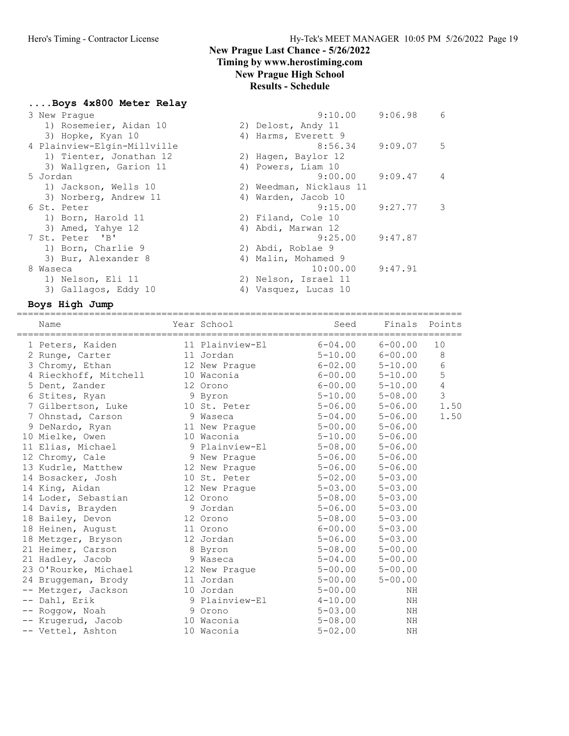## Timing by www.herostiming.com

## New Prague High School

## Results - Schedule

|  |              | Boys 4x800 Meter Relay |  |
|--|--------------|------------------------|--|
|  |              |                        |  |
|  | 3 Now Drague |                        |  |

| 3 New Praque                | $9:10.00$ $9:06.98$     |                       | 6                        |
|-----------------------------|-------------------------|-----------------------|--------------------------|
| 1) Rosemeier, Aidan 10      | 2) Delost, Andy 11      |                       |                          |
| 3) Hopke, Kyan 10           | 4) Harms, Everett 9     |                       |                          |
| 4 Plainview-Elgin-Millville | 8:56.34                 | $9:09.07$ 5           |                          |
| 1) Tienter, Jonathan 12     | 2) Hagen, Baylor 12     |                       |                          |
| 3) Wallgren, Garion 11      | 4) Powers, Liam 10      |                       |                          |
| 5 Jordan                    |                         | $9:00.00$ $9:09.47$ 4 |                          |
| 1) Jackson, Wells 10        | 2) Weedman, Nicklaus 11 |                       |                          |
| 3) Norberg, Andrew 11       | 4) Warden, Jacob 10     |                       |                          |
| 6 St. Peter                 | $9:15.00$ $9:27.77$     |                       | $\overline{\phantom{a}}$ |
| 1) Born, Harold 11          | 2) Filand, Cole 10      |                       |                          |
| 3) Amed, Yahye 12           | 4) Abdi, Marwan 12      |                       |                          |
| 7 St. Peter 'B'             | $9:25.00$ $9:47.87$     |                       |                          |
| 1) Born, Charlie 9          | 2) Abdi, Roblae 9       |                       |                          |
| 3) Bur, Alexander 8         | 4) Malin, Mohamed 9     |                       |                          |
| 8 Waseca                    | $10:00.00$ $9:47.91$    |                       |                          |
| 1) Nelson, Eli 11           | 2) Nelson, Israel 11    |                       |                          |
| 3) Gallagos, Eddy 10        | Vasquez, Lucas 10<br>4) |                       |                          |
|                             |                         |                       |                          |

## Boys High Jump

| Name                  | Year School     | Seed        | Finals Points |                |
|-----------------------|-----------------|-------------|---------------|----------------|
| 1 Peters, Kaiden      | 11 Plainview-El | $6 - 04.00$ | $6 - 00.00$   | 10             |
| 2 Runge, Carter       | 11 Jordan       | $5 - 10.00$ | $6 - 00.00$   | 8              |
| 3 Chromy, Ethan       | 12 New Prague   | $6 - 02.00$ | $5 - 10.00$   | $\sqrt{6}$     |
| 4 Rieckhoff, Mitchell | 10 Waconia      | $6 - 00.00$ | $5 - 10.00$   | 5              |
| 5 Dent, Zander        | 12 Orono        | $6 - 00.00$ | $5 - 10.00$   | $\overline{4}$ |
| 6 Stites, Ryan        | 9 Byron         | $5 - 10.00$ | $5 - 08.00$   | $\mathfrak{Z}$ |
| 7 Gilbertson, Luke    | 10 St. Peter    | $5 - 06.00$ | $5 - 06.00$   | 1.50           |
| 7 Ohnstad, Carson     | 9 Waseca        | $5 - 04.00$ | $5 - 06.00$   | 1.50           |
| 9 DeNardo, Ryan       | 11 New Prague   | $5 - 00.00$ | $5 - 06.00$   |                |
| 10 Mielke, Owen       | 10 Waconia      | $5 - 10.00$ | $5 - 06.00$   |                |
| 11 Elias, Michael     | 9 Plainview-El  | $5 - 08.00$ | $5 - 06.00$   |                |
| 12 Chromy, Cale       | 9 New Praque    | $5 - 06.00$ | $5 - 06.00$   |                |
| 13 Kudrle, Matthew    | 12 New Praque   | $5 - 06.00$ | $5 - 06.00$   |                |
| 14 Bosacker, Josh     | 10 St. Peter    | $5 - 02.00$ | $5 - 03.00$   |                |
| 14 King, Aidan        | 12 New Prague   | $5 - 03.00$ | $5 - 03.00$   |                |
| 14 Loder, Sebastian   | 12 Orono        | $5 - 08.00$ | $5 - 03.00$   |                |
| 14 Davis, Brayden     | 9 Jordan        | $5 - 06.00$ | $5 - 03.00$   |                |
| 18 Bailey, Devon      | 12 Orono        | $5 - 08.00$ | $5 - 03.00$   |                |
| 18 Heinen, August     | 11 Orono        | $6 - 00.00$ | $5 - 03.00$   |                |
| 18 Metzger, Bryson    | 12 Jordan       | $5 - 06.00$ | $5 - 03.00$   |                |
| 21 Heimer, Carson     | 8 Byron         | $5 - 08.00$ | $5 - 00.00$   |                |
| 21 Hadley, Jacob      | 9 Waseca        | $5 - 04.00$ | $5 - 00.00$   |                |
| 23 O'Rourke, Michael  | 12 New Prague   | $5 - 00.00$ | $5 - 00.00$   |                |
| 24 Bruggeman, Brody   | 11 Jordan       | $5 - 00.00$ | $5 - 00.00$   |                |
| -- Metzger, Jackson   | 10 Jordan       | $5 - 00.00$ | NH            |                |
| -- Dahl, Erik         | 9 Plainview-El  | $4 - 10.00$ | NH            |                |
| -- Roggow, Noah       | 9 Orono         | $5 - 03.00$ | ΝH            |                |
| Krugerud, Jacob       | 10 Waconia      | $5 - 08.00$ | NH            |                |
| -- Vettel, Ashton     | 10 Waconia      | $5 - 02.00$ | ΝH            |                |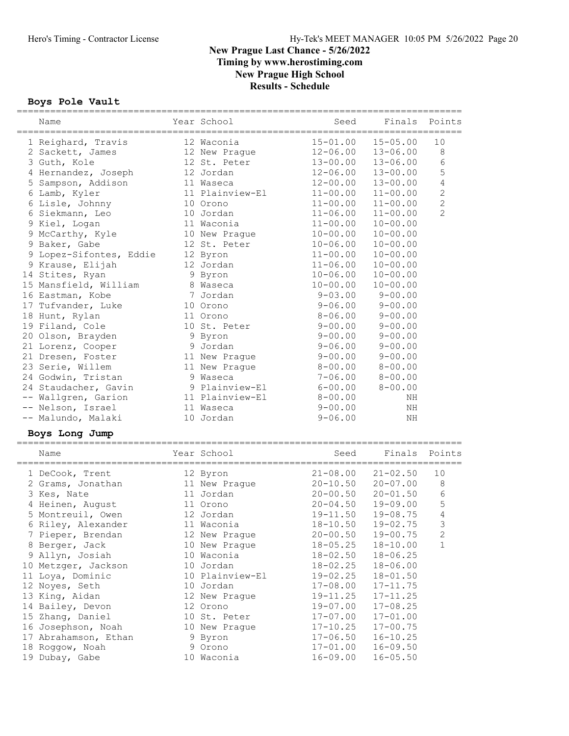#### Boys Pole Vault

|                | Name                    |             | Year School     | Seed         |              | Finals Points  |  |  |
|----------------|-------------------------|-------------|-----------------|--------------|--------------|----------------|--|--|
|                | 1 Reighard, Travis      |             | 12 Waconia      | $15 - 01.00$ | $15 - 05.00$ | 10             |  |  |
|                | 2 Sackett, James        |             | 12 New Prague   | $12 - 06.00$ | $13 - 06.00$ | 8              |  |  |
|                | 3 Guth, Kole            |             | 12 St. Peter    | $13 - 00.00$ | $13 - 06.00$ | $\epsilon$     |  |  |
|                | 4 Hernandez, Joseph     |             | 12 Jordan       | $12 - 06.00$ | $13 - 00.00$ | 5              |  |  |
|                | 5 Sampson, Addison      |             | 11 Waseca       | $12 - 00.00$ | $13 - 00.00$ | 4              |  |  |
|                | 6 Lamb, Kyler           |             | 11 Plainview-El | $11 - 00.00$ | $11 - 00.00$ | $\mathbf{2}$   |  |  |
|                | 6 Lisle, Johnny         |             | 10 Orono        | $11 - 00.00$ | $11 - 00.00$ | $\overline{c}$ |  |  |
|                | 6 Siekmann, Leo         |             | 10 Jordan       | $11 - 06.00$ | $11 - 00.00$ | $\overline{2}$ |  |  |
|                | 9 Kiel, Logan           |             | 11 Waconia      | $11 - 00.00$ | $10 - 00.00$ |                |  |  |
|                | 9 McCarthy, Kyle        |             | 10 New Prague   | $10 - 00.00$ | $10 - 00.00$ |                |  |  |
|                | 9 Baker, Gabe           |             | 12 St. Peter    | $10 - 06.00$ | $10 - 00.00$ |                |  |  |
|                | 9 Lopez-Sifontes, Eddie |             | 12 Byron        | $11 - 00.00$ | $10 - 00.00$ |                |  |  |
|                | 9 Krause, Elijah        |             | 12 Jordan       | $11 - 06.00$ | $10 - 00.00$ |                |  |  |
|                | 14 Stites, Ryan         |             | 9 Byron         | $10 - 06.00$ | $10 - 00.00$ |                |  |  |
|                | 15 Mansfield, William   |             | 8 Waseca        | $10 - 00.00$ | $10 - 00.00$ |                |  |  |
|                | 16 Eastman, Kobe        |             | 7 Jordan        | $9 - 03.00$  | $9 - 00.00$  |                |  |  |
|                | 17 Tufvander, Luke      |             | 10 Orono        | $9 - 06.00$  | $9 - 00.00$  |                |  |  |
|                | 18 Hunt, Rylan          |             | 11 Orono        | $8 - 06.00$  | $9 - 00.00$  |                |  |  |
|                | 19 Filand, Cole         |             | 10 St. Peter    | $9 - 00.00$  | $9 - 00.00$  |                |  |  |
|                | 20 Olson, Brayden       |             | 9 Byron         | $9 - 00.00$  | $9 - 00.00$  |                |  |  |
|                | 21 Lorenz, Cooper       |             | 9 Jordan        | $9 - 06.00$  | $9 - 00.00$  |                |  |  |
|                | 21 Dresen, Foster       |             | 11 New Prague   | $9 - 00.00$  | $9 - 00.00$  |                |  |  |
|                | 23 Serie, Willem        |             | 11 New Prague   | $8 - 00.00$  | $8 - 00.00$  |                |  |  |
|                | 24 Godwin, Tristan      |             | 9 Waseca        | $7 - 06.00$  | $8 - 00.00$  |                |  |  |
|                | 24 Staudacher, Gavin    |             | 9 Plainview-El  | $6 - 00.00$  | $8 - 00.00$  |                |  |  |
|                | -- Wallgren, Garion     |             | 11 Plainview-El | $8 - 00.00$  | ΝH           |                |  |  |
|                | -- Nelson, Israel       |             | 11 Waseca       | $9 - 00.00$  | ΝH           |                |  |  |
|                | -- Malundo, Malaki      |             | 10 Jordan       | $9 - 06.00$  | ΝH           |                |  |  |
| Boys Long Jump |                         |             |                 |              |              |                |  |  |
|                | Name                    | ----------- | Year School     | Seed         | Finals       | Points         |  |  |
|                | 1 DeCook, Trent         |             | 12 Byron        | $21 - 08.00$ | $21 - 02.50$ | 10             |  |  |
|                | 2 Grams, Jonathan       |             | 11 New Prague   | $20 - 10.50$ | $20 - 07.00$ | 8              |  |  |
|                | 3 Kes, Nate             |             | 11 Jordan       | $20 - 00.50$ | $20 - 01.50$ | 6              |  |  |
|                | 4 Heinen, August        |             | 11 Orono        | $20 - 04.50$ | $19 - 09.00$ | 5              |  |  |
|                | 5 Montreuil, Owen       |             | 12 Jordan       | $19 - 11.50$ | $19 - 08.75$ | $\overline{4}$ |  |  |
|                | 6 Riley, Alexander      |             | 11 Waconia      | $18 - 10.50$ | $19 - 02.75$ | $\mathsf 3$    |  |  |
|                | 7 Pieper, Brendan       |             | 12 New Prague   | $20 - 00.50$ | $19 - 00.75$ | 2              |  |  |
|                | 8 Berger, Jack          |             | 10 New Prague   | $18 - 05.25$ | $18 - 10.00$ | $\mathbf{1}$   |  |  |
|                | 9 Allyn, Josiah         |             | 10 Waconia      | $18 - 02.50$ | $18 - 06.25$ |                |  |  |
|                | 10 Metzger, Jackson     |             | 10 Jordan       | $18 - 02.25$ | $18 - 06.00$ |                |  |  |
|                | 11 Loya, Dominic        |             | 10 Plainview-El | $19 - 02.25$ | $18 - 01.50$ |                |  |  |
|                | 12 Noyes, Seth          |             | 10 Jordan       | $17 - 08.00$ | $17 - 11.75$ |                |  |  |
|                | 13 King, Aidan          |             | 12 New Prague   | $19 - 11.25$ | $17 - 11.25$ |                |  |  |
|                | 14 Bailey, Devon        |             | 12 Orono        | $19 - 07.00$ | $17 - 08.25$ |                |  |  |
|                | 15 Zhang, Daniel        |             | 10 St. Peter    | $17 - 07.00$ | $17 - 01.00$ |                |  |  |
|                | 16 Josephson, Noah      |             | 10 New Praque   | $17 - 10.25$ | $17 - 00.75$ |                |  |  |
|                | 17 Abrahamson, Ethan    |             | 9 Byron         | $17 - 06.50$ | $16 - 10.25$ |                |  |  |
|                | 18 Roggow, Noah         |             | 9 Orono         | $17 - 01.00$ | $16 - 09.50$ |                |  |  |
|                | 19 Dubay, Gabe          |             | 10 Waconia      | $16 - 09.00$ | $16 - 05.50$ |                |  |  |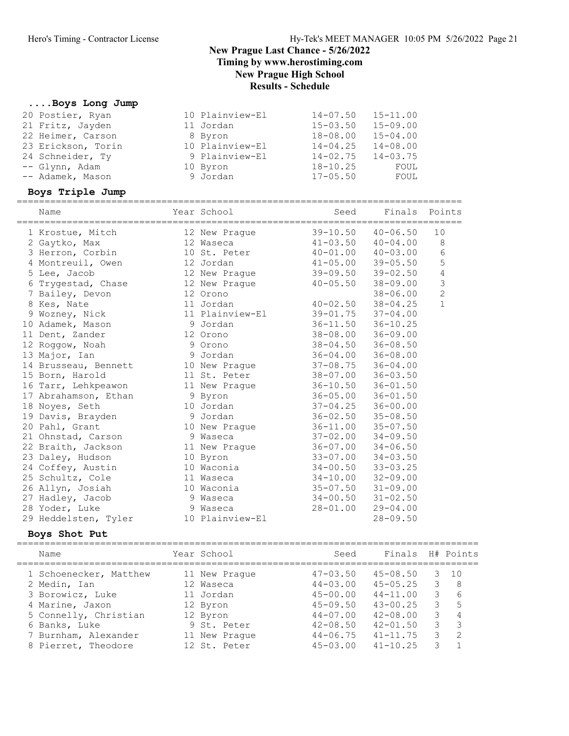#### ....Boys Long Jump

| 21 Fritz, Jayden<br>22 Heimer, Carson<br>23 Erickson, Torin<br>24 Schneider, Ty<br>-- Glynn, Adam<br>-- Adamek, Mason<br>Boys Triple Jump<br>Name                                                                                                                                                                                                                                                                                                                                                                                                                                             | 11 Jordan<br>8 Byron<br>10 Plainview-El<br>9 Plainview-El<br>10 Byron<br>9 Jordan<br>Year School                                                                                                                                                                                                                                                                                                                         | $15 - 03.50$<br>$18 - 08.00$<br>$14 - 04.25$<br>$14 - 02.75$<br>$18 - 10.25$<br>$17 - 05.50$<br>Seed                                                                                                                                                                                                                                                                                                                                                               | $15 - 09.00$<br>$15 - 04.00$<br>$14 - 08.00$<br>$14 - 03.75$<br>FOUL<br>FOUL<br>Finals Points                                                                                                                                                                                                                                                                                                                                                |                  |                                                                                  |
|-----------------------------------------------------------------------------------------------------------------------------------------------------------------------------------------------------------------------------------------------------------------------------------------------------------------------------------------------------------------------------------------------------------------------------------------------------------------------------------------------------------------------------------------------------------------------------------------------|--------------------------------------------------------------------------------------------------------------------------------------------------------------------------------------------------------------------------------------------------------------------------------------------------------------------------------------------------------------------------------------------------------------------------|--------------------------------------------------------------------------------------------------------------------------------------------------------------------------------------------------------------------------------------------------------------------------------------------------------------------------------------------------------------------------------------------------------------------------------------------------------------------|----------------------------------------------------------------------------------------------------------------------------------------------------------------------------------------------------------------------------------------------------------------------------------------------------------------------------------------------------------------------------------------------------------------------------------------------|------------------|----------------------------------------------------------------------------------|
| 1 Krostue, Mitch<br>2 Gaytko, Max<br>3 Herron, Corbin<br>4 Montreuil, Owen<br>5 Lee, Jacob<br>6 Trygestad, Chase<br>7 Bailey, Devon<br>8 Kes, Nate<br>9 Wozney, Nick<br>10 Adamek, Mason<br>11 Dent, Zander<br>12 Roggow, Noah<br>13 Major, Ian<br>14 Brusseau, Bennett<br>15 Born, Harold<br>16 Tarr, Lehkpeawon<br>17 Abrahamson, Ethan<br>18 Noyes, Seth<br>19 Davis, Brayden<br>20 Pahl, Grant<br>21 Ohnstad, Carson<br>22 Braith, Jackson<br>23 Daley, Hudson<br>24 Coffey, Austin<br>25 Schultz, Cole<br>26 Allyn, Josiah<br>27 Hadley, Jacob<br>28 Yoder, Luke<br>29 Heddelsten, Tyler | 12 New Prague<br>12 Waseca<br>10 St. Peter<br>12 Jordan<br>12 New Prague<br>12 New Prague<br>12 Orono<br>11 Jordan<br>11 Plainview-El<br>9 Jordan<br>12 Orono<br>9 Orono<br>9 Jordan<br>10 New Prague<br>11 St. Peter<br>11 New Prague<br>9 Byron<br>10 Jordan<br>9 Jordan<br>10 New Praque<br>9 Waseca<br>11 New Prague<br>10 Byron<br>10 Waconia<br>11 Waseca<br>10 Waconia<br>9 Waseca<br>9 Waseca<br>10 Plainview-El | $39 - 10.50$<br>$41 - 03.50$ $40 - 04.00$<br>$40 - 01.00$ $40 - 03.00$<br>$41 - 05.00$<br>$39 - 09.50$<br>$40 - 05.50$<br>$40 - 02.50$<br>$39 - 01.75$<br>$36 - 11.50$<br>38-08.00<br>$38 - 04.50$<br>$36 - 04.00$<br>$37 - 08.75$<br>$38 - 07.00$<br>$36 - 10.50$<br>$36 - 05.00$<br>$37 - 04.25$<br>$36 - 02.50$<br>$36 - 11.00$<br>$37 - 02.00$<br>$36 - 07.00$<br>$33 - 07.00$<br>$34 - 00.50$<br>$34 - 10.00$<br>$35 - 07.50$<br>$34 - 00.50$<br>$28 - 01.00$ | $40 - 06.50$<br>$39 - 05.50$<br>$39 - 02.50$<br>$38 - 09.00$<br>$38 - 06.00$<br>$38 - 04.25$<br>$37 - 04.00$<br>$36 - 10.25$<br>$36 - 09.00$<br>$36 - 08.50$<br>$36 - 08.00$<br>$36 - 04.00$<br>$36 - 03.50$<br>$36 - 01.50$<br>$36 - 01.50$<br>$36 - 00.00$<br>$35 - 08.50$<br>$35 - 07.50$<br>$34 - 09.50$<br>$34 - 06.50$<br>$34 - 03.50$<br>$33 - 03.25$<br>$32 - 09.00$<br>$31 - 09.00$<br>$31 - 02.50$<br>$29 - 04.00$<br>$28 - 09.50$ | 10               | 8<br>6<br>$\mathsf S$<br>$\sqrt{4}$<br>$\mathsf 3$<br>$\sqrt{2}$<br>$\mathbf{1}$ |
| Boys Shot Put                                                                                                                                                                                                                                                                                                                                                                                                                                                                                                                                                                                 |                                                                                                                                                                                                                                                                                                                                                                                                                          |                                                                                                                                                                                                                                                                                                                                                                                                                                                                    |                                                                                                                                                                                                                                                                                                                                                                                                                                              |                  |                                                                                  |
| Name                                                                                                                                                                                                                                                                                                                                                                                                                                                                                                                                                                                          | Year School                                                                                                                                                                                                                                                                                                                                                                                                              | Seed                                                                                                                                                                                                                                                                                                                                                                                                                                                               | Finals                                                                                                                                                                                                                                                                                                                                                                                                                                       |                  | H# Points                                                                        |
| 1 Schoenecker, Matthew<br>2 Medin, Ian<br>3 Borowicz, Luke<br>4 Marine, Jaxon                                                                                                                                                                                                                                                                                                                                                                                                                                                                                                                 | 11 New Prague<br>12 Waseca<br>11 Jordan<br>12 Byron                                                                                                                                                                                                                                                                                                                                                                      | $47 - 03.50$<br>$44 - 03.00$<br>$45 - 00.00$<br>$45 - 09.50$                                                                                                                                                                                                                                                                                                                                                                                                       | $45 - 08.50$<br>$45 - 05.25$<br>$44 - 11.00$<br>$43 - 00.25$                                                                                                                                                                                                                                                                                                                                                                                 | 3<br>3<br>3<br>3 | 10<br>8<br>6<br>5                                                                |

5 Connelly, Christian 12 Byron 44-07.00 42-08.00 3 4 6 Banks, Luke 9 St. Peter 42-08.50 42-01.50 3 3 7 Burnham, Alexander 11 New Prague 44-06.75 41-11.75 3 2 8 Pierret, Theodore 12 St. Peter 45-03.00 41-10.25 3 1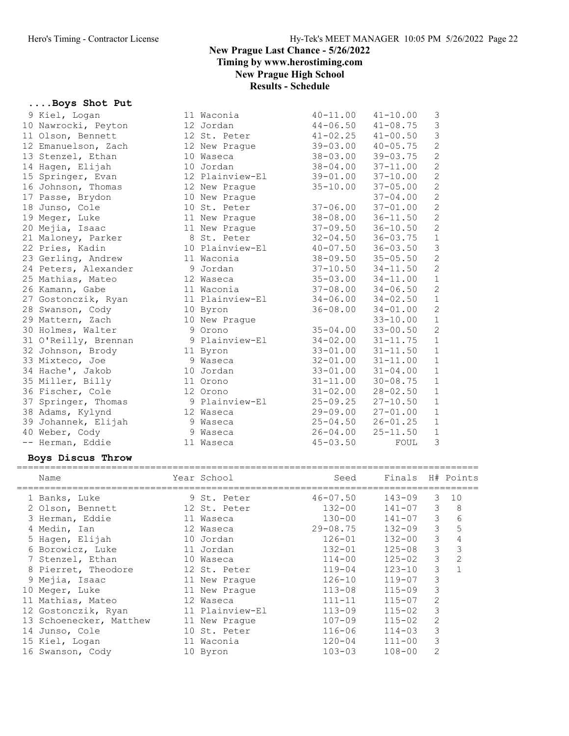Results - Schedule

## ....Boys Shot Put

| 9 Kiel, Logan        | 11 Waconia      | $40 - 11.00$ | $41 - 10.00$ | 3              |
|----------------------|-----------------|--------------|--------------|----------------|
| 10 Nawrocki, Peyton  | 12 Jordan       | $44 - 06.50$ | $41 - 08.75$ | $\mathcal{S}$  |
| 11 Olson, Bennett    | 12 St. Peter    | $41 - 02.25$ | $41 - 00.50$ | $\mathfrak{Z}$ |
| 12 Emanuelson, Zach  | 12 New Prague   | $39 - 03.00$ | $40 - 05.75$ | $\overline{c}$ |
| 13 Stenzel, Ethan    | 10 Waseca       | $38 - 03.00$ | $39 - 03.75$ | $\overline{c}$ |
| 14 Hagen, Elijah     | 10 Jordan       | $38 - 04.00$ | $37 - 11.00$ | $\overline{c}$ |
| 15 Springer, Evan    | 12 Plainview-El | $39 - 01.00$ | $37 - 10.00$ | $\overline{c}$ |
| 16 Johnson, Thomas   | 12 New Praque   | $35 - 10.00$ | $37 - 05.00$ | $\overline{c}$ |
| 17 Passe, Brydon     | 10 New Prague   |              | $37 - 04.00$ | $\sqrt{2}$     |
| 18 Junso, Cole       | 10 St. Peter    | $37 - 06.00$ | $37 - 01.00$ | $\sqrt{2}$     |
| 19 Meger, Luke       | 11 New Prague   | $38 - 08.00$ | $36 - 11.50$ | $\sqrt{2}$     |
| 20 Mejia, Isaac      | 11 New Prague   | $37 - 09.50$ | $36 - 10.50$ | $\overline{c}$ |
| 21 Maloney, Parker   | 8 St. Peter     | $32 - 04.50$ | $36 - 03.75$ | $\,1\,$        |
| 22 Pries, Kadin      | 10 Plainview-El | $40 - 07.50$ | $36 - 03.50$ | $\mathcal{S}$  |
| 23 Gerling, Andrew   | 11 Waconia      | $38 - 09.50$ | $35 - 05.50$ | $\mathbf{2}$   |
| 24 Peters, Alexander | 9 Jordan        | $37 - 10.50$ | $34 - 11.50$ | $\overline{c}$ |
| 25 Mathias, Mateo    | 12 Waseca       | $35 - 03.00$ | $34 - 11.00$ | $1\,$          |
| 26 Kamann, Gabe      | 11 Waconia      | $37 - 08.00$ | $34 - 06.50$ | $\overline{c}$ |
| 27 Gostonczik, Ryan  | 11 Plainview-El | $34 - 06.00$ | $34 - 02.50$ | $\mathbf 1$    |
| 28 Swanson, Cody     | 10 Byron        | $36 - 08.00$ | $34 - 01.00$ | $\mathbf{2}$   |
| 29 Mattern, Zach     | 10 New Prague   |              | $33 - 10.00$ | $\mathbf 1$    |
| 30 Holmes, Walter    | 9 Orono         | $35 - 04.00$ | $33 - 00.50$ | $\overline{c}$ |
| 31 O'Reilly, Brennan | 9 Plainview-El  | $34 - 02.00$ | $31 - 11.75$ | $\,1\,$        |
| 32 Johnson, Brody    | 11 Byron        | $33 - 01.00$ | $31 - 11.50$ | $\mathbf{1}$   |
| 33 Mixteco, Joe      | 9 Waseca        | $32 - 01.00$ | $31 - 11.00$ | $\mathbf 1$    |
| 34 Hache', Jakob     | 10 Jordan       | $33 - 01.00$ | $31 - 04.00$ | $\mathbf 1$    |
| 35 Miller, Billy     | 11 Orono        | $31 - 11.00$ | $30 - 08.75$ | $\,1\,$        |
| 36 Fischer, Cole     | 12 Orono        | $31 - 02.00$ | $28 - 02.50$ | $\mathbf 1$    |
| 37 Springer, Thomas  | 9 Plainview-El  | $25 - 09.25$ | $27 - 10.50$ | $\,1\,$        |
| 38 Adams, Kylynd     | 12 Waseca       | $29 - 09.00$ | $27 - 01.00$ | $\,1\,$        |
| 39 Johannek, Elijah  | 9 Waseca        | $25 - 04.50$ | $26 - 01.25$ | $1\,$          |
| 40 Weber, Cody       | 9 Waseca        | $26 - 04.00$ | $25 - 11.50$ | $\mathbf 1$    |
| -- Herman, Eddie     | 11 Waseca       | $45 - 03.50$ | FOUL         | 3              |
|                      |                 |              |              |                |

## Boys Discus Throw

| Name                    |    | Year School     | Seed         | Finals H# Points |                |                |
|-------------------------|----|-----------------|--------------|------------------|----------------|----------------|
|                         |    |                 |              |                  |                |                |
| 1 Banks, Luke           |    | 9 St. Peter     | $46 - 07.50$ | $143 - 09$       | 3              | 10             |
| 2 Olson, Bennett        |    | 12 St. Peter    | $132 - 00$   | $141 - 07$       | 3              | 8              |
| 3 Herman, Eddie         |    | 11 Waseca       | $130 - 00$   | $141 - 07$       | 3              | 6              |
| 4 Medin, Ian            |    | 12 Waseca       | $29 - 08.75$ | $132 - 09$       | 3              | 5              |
| 5 Hagen, Elijah         |    | 10 Jordan       | $126 - 01$   | $132 - 00$       | 3              | 4              |
| 6 Borowicz, Luke        |    | 11 Jordan       | $132 - 01$   | $125 - 08$       | 3              | 3              |
| 7 Stenzel, Ethan        | 10 | Waseca          | $114 - 00$   | $125 - 02$       | 3              | $\overline{2}$ |
| 8 Pierret, Theodore     |    | 12 St. Peter    | $119 - 04$   | $123 - 10$       | 3              |                |
| 9 Mejia, Isaac          |    | 11 New Praque   | $126 - 10$   | $119 - 07$       | 3              |                |
| 10 Meger, Luke          |    | 11 New Praque   | $113 - 08$   | $115 - 09$       | 3              |                |
| 11 Mathias, Mateo       |    | 12 Waseca       | $111 - 11$   | $115 - 07$       | 2              |                |
| 12 Gostonczik, Ryan     |    | 11 Plainview-El | $113 - 09$   | $115 - 02$       | 3              |                |
| 13 Schoenecker, Matthew |    | 11 New Praque   | $107 - 09$   | $115 - 02$       | $\overline{2}$ |                |
| 14 Junso, Cole          |    | 10 St. Peter    | $116 - 06$   | $114 - 03$       | 3              |                |
| 15 Kiel, Logan          |    | 11 Waconia      | $120 - 04$   | $111 - 00$       | 3              |                |
| 16 Swanson, Cody        | 10 | Byron           | $103 - 03$   | $108 - 00$       | 2              |                |